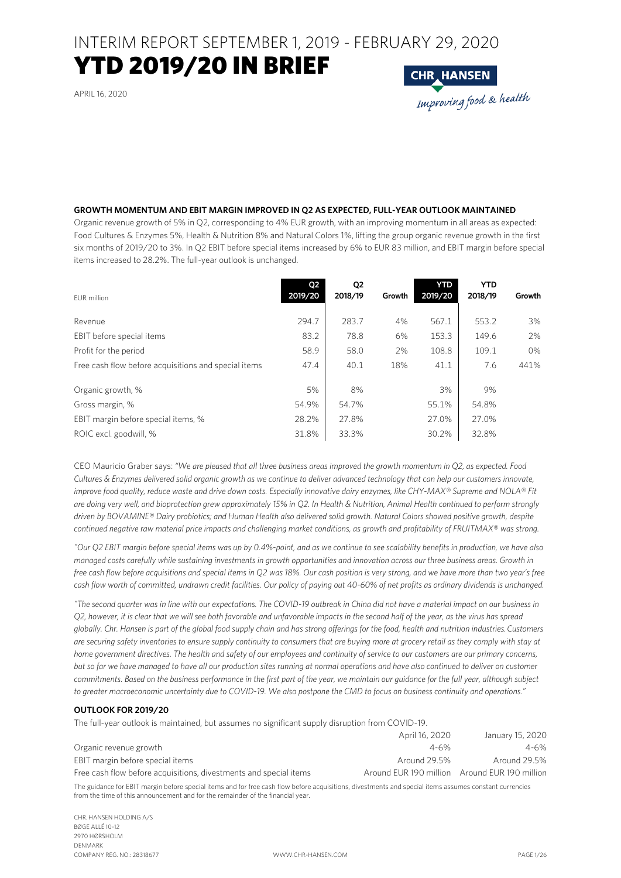INTERIM REPORT SEPTEMBER 1, 2019 - FEBRUARY 29, 2020

### YTD 2019/20 IN BRIEF

APRIL 16, 2020



#### **GROWTH MOMENTUM AND EBIT MARGIN IMPROVED IN Q2 AS EXPECTED, FULL-YEAR OUTLOOK MAINTAINED**

Organic revenue growth of 5% in Q2, corresponding to 4% EUR growth, with an improving momentum in all areas as expected: Food Cultures & Enzymes 5%, Health & Nutrition 8% and Natural Colors 1%, lifting the group organic revenue growth in the first six months of 2019/20 to 3%. In Q2 EBIT before special items increased by 6% to EUR 83 million, and EBIT margin before special items increased to 28.2%. The full-year outlook is unchanged.

| EUR million                                          | Q2<br>2019/20 | Q2<br>2018/19 | Growth | <b>YTD</b><br>2019/20 | <b>YTD</b><br>2018/19 | Growth |
|------------------------------------------------------|---------------|---------------|--------|-----------------------|-----------------------|--------|
| Revenue                                              | 294.7         | 283.7         | 4%     | 567.1                 | 553.2                 | 3%     |
| EBIT before special items                            | 83.2          | 78.8          | 6%     | 153.3                 | 149.6                 | 2%     |
| Profit for the period                                | 58.9          | 58.0          | 2%     | 108.8                 | 109.1                 | 0%     |
| Free cash flow before acquisitions and special items | 47.4          | 40.1          | 18%    | 41.1                  | 7.6                   | 441%   |
| Organic growth, %                                    | 5%            | 8%            |        | 3%                    | 9%                    |        |
| Gross margin, %                                      | 54.9%         | 54.7%         |        | 55.1%                 | 54.8%                 |        |
| EBIT margin before special items, %                  | 28.2%         | 27.8%         |        | 27.0%                 | 27.0%                 |        |
| ROIC excl. goodwill, %                               | 31.8%         | 33.3%         |        | 30.2%                 | 32.8%                 |        |

CEO Mauricio Graber says: *"We are pleased that all three business areas improved the growth momentum in Q2, as expected. Food Cultures & Enzymes delivered solid organic growth as we continue to deliver advanced technology that can help our customers innovate, improve food quality, reduce waste and drive down costs. Especially innovative dairy enzymes, like CHY-MAX® Supreme and NOLA® Fit are doing very well, and bioprotection grew approximately 15% in Q2. In Health & Nutrition, Animal Health continued to perform strongly driven by BOVAMINE® Dairy probiotics; and Human Health also delivered solid growth. Natural Colors showed positive growth, despite continued negative raw material price impacts and challenging market conditions, as growth and profitability of FRUITMAX® was strong.* 

*"Our Q2 EBIT margin before special items was up by 0.4%-point, and as we continue to see scalability benefits in production, we have also managed costs carefully while sustaining investments in growth opportunities and innovation across our three business areas. Growth in free cash flow before acquisitions and special items in Q2 was 18%. Our cash position is very strong, and we have more than two year's free cash flow worth of committed, undrawn credit facilities. Our policy of paying out 40-60% of net profits as ordinary dividends is unchanged.* 

*"The second quarter was in line with our expectations. The COVID-19 outbreak in China did not have a material impact on our business in Q2, however, it is clear that we will see both favorable and unfavorable impacts in the second half of the year, as the virus has spread globally. Chr. Hansen is part of the global food supply chain and has strong offerings for the food, health and nutrition industries. Customers are securing safety inventories to ensure supply continuity to consumers that are buying more at grocery retail as they comply with stay at home government directives. The health and safety of our employees and continuity of service to our customers are our primary concerns, but so far we have managed to have all our production sites running at normal operations and have also continued to deliver on customer commitments. Based on the business performance in the first part of the year, we maintain our guidance for the full year, although subject to greater macroeconomic uncertainty due to COVID-19. We also postpone the CMD to focus on business continuity and operations."*

#### **OUTLOOK FOR 2019/20**

The full-year outlook is maintained, but assumes no significant supply disruption from COVID-19.

|                                                                   | April 16, 2020                                | January 15, 2020 |
|-------------------------------------------------------------------|-----------------------------------------------|------------------|
| Organic revenue growth                                            | $4 - 6%$                                      | $4 - 6%$         |
| EBIT margin before special items                                  | Around 29.5%                                  | Around 29.5%     |
| Free cash flow before acquisitions, divestments and special items | Around EUR 190 million Around EUR 190 million |                  |

The guidance for EBIT margin before special items and for free cash flow before acquisitions, divestments and special items assumes constant currencies from the time of this announcement and for the remainder of the financial year.

CHR. HANSEN HOLDING A/S BØGE ALLÉ 10-12 2970 HØRSHOLM DENMARK COMPANY REG. NO.: 28318677 WWW.CHR-HANSEN.COM PAGE 1/26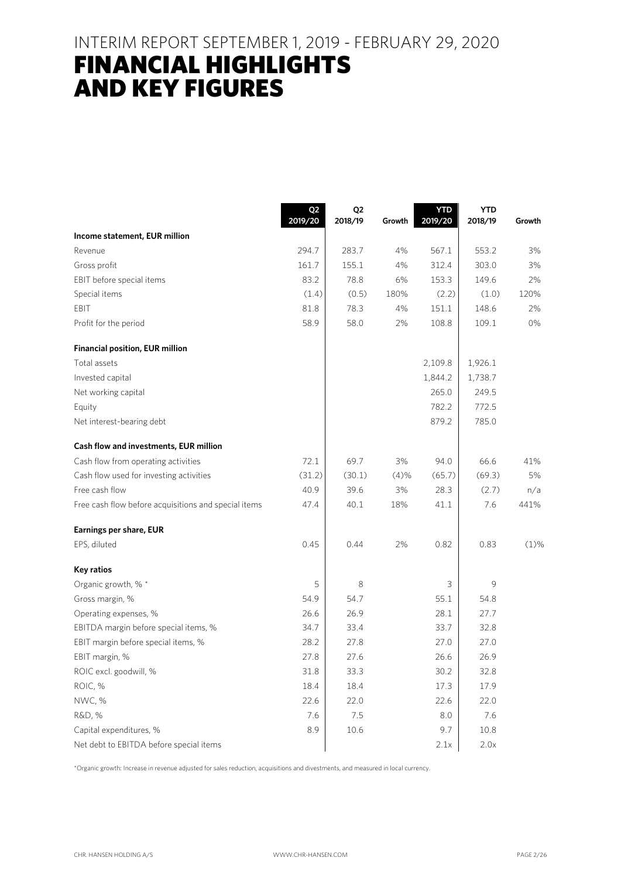### INTERIM REPORT SEPTEMBER 1, 2019 - FEBRUARY 29, 2020

# FINANCIAL HIGHLIGHTS AND KEY FIGURES

|                                                      | Q <sub>2</sub><br>2019/20 | Q <sub>2</sub><br>2018/19 | Growth | <b>YTD</b><br>2019/20 | <b>YTD</b><br>2018/19 | Growth  |
|------------------------------------------------------|---------------------------|---------------------------|--------|-----------------------|-----------------------|---------|
| Income statement, EUR million                        |                           |                           |        |                       |                       |         |
| Revenue                                              | 294.7                     | 283.7                     | 4%     | 567.1                 | 553.2                 | 3%      |
| Gross profit                                         | 161.7                     | 155.1                     | 4%     | 312.4                 | 303.0                 | 3%      |
| EBIT before special items                            | 83.2                      | 78.8                      | 6%     | 153.3                 | 149.6                 | 2%      |
| Special items                                        | (1.4)                     | (0.5)                     | 180%   | (2.2)                 | (1.0)                 | 120%    |
| EBIT                                                 | 81.8                      | 78.3                      | 4%     | 151.1                 | 148.6                 | 2%      |
| Profit for the period                                | 58.9                      | 58.0                      | 2%     | 108.8                 | 109.1                 | 0%      |
| <b>Financial position, EUR million</b>               |                           |                           |        |                       |                       |         |
| Total assets                                         |                           |                           |        | 2,109.8               | 1,926.1               |         |
| Invested capital                                     |                           |                           |        | 1,844.2               | 1,738.7               |         |
| Net working capital                                  |                           |                           |        | 265.0                 | 249.5                 |         |
| Equity                                               |                           |                           |        | 782.2                 | 772.5                 |         |
| Net interest-bearing debt                            |                           |                           |        | 879.2                 | 785.0                 |         |
| Cash flow and investments, EUR million               |                           |                           |        |                       |                       |         |
| Cash flow from operating activities                  | 72.1                      | 69.7                      | 3%     | 94.0                  | 66.6                  | 41%     |
| Cash flow used for investing activities              | (31.2)                    | (30.1)                    | (4)%   | (65.7)                | (69.3)                | 5%      |
| Free cash flow                                       | 40.9                      | 39.6                      | 3%     | 28.3                  | (2.7)                 | n/a     |
| Free cash flow before acquisitions and special items | 47.4                      | 40.1                      | 18%    | 41.1                  | 7.6                   | 441%    |
| Earnings per share, EUR                              |                           |                           |        |                       |                       |         |
| EPS, diluted                                         | 0.45                      | 0.44                      | 2%     | 0.82                  | 0.83                  | $(1)$ % |
| Key ratios                                           |                           |                           |        |                       |                       |         |
| Organic growth, % *                                  | 5                         | 8                         |        | 3                     | 9                     |         |
| Gross margin, %                                      | 54.9                      | 54.7                      |        | 55.1                  | 54.8                  |         |
| Operating expenses, %                                | 26.6                      | 26.9                      |        | 28.1                  | 27.7                  |         |
| EBITDA margin before special items, %                | 34.7                      | 33.4                      |        | 33.7                  | 32.8                  |         |
| EBIT margin before special items, %                  | 28.2                      | 27.8                      |        | 27.0                  | 27.0                  |         |
| EBIT margin, %                                       | 27.8                      | 27.6                      |        | 26.6                  | 26.9                  |         |
| ROIC excl. goodwill, %                               | 31.8                      | 33.3                      |        | 30.2                  | 32.8                  |         |
| ROIC, %                                              | 18.4                      | 18.4                      |        | 17.3                  | 17.9                  |         |
| NWC, %                                               | 22.6                      | 22.0                      |        | 22.6                  | 22.0                  |         |
| R&D, %                                               | 7.6                       | 7.5                       |        | 8.0                   | 7.6                   |         |
| Capital expenditures, %                              | 8.9                       | 10.6                      |        | 9.7                   | 10.8                  |         |
| Net debt to EBITDA before special items              |                           |                           |        | 2.1x                  | 2.0x                  |         |

\*Organic growth: Increase in revenue adjusted for sales reduction, acquisitions and divestments, and measured in local currency.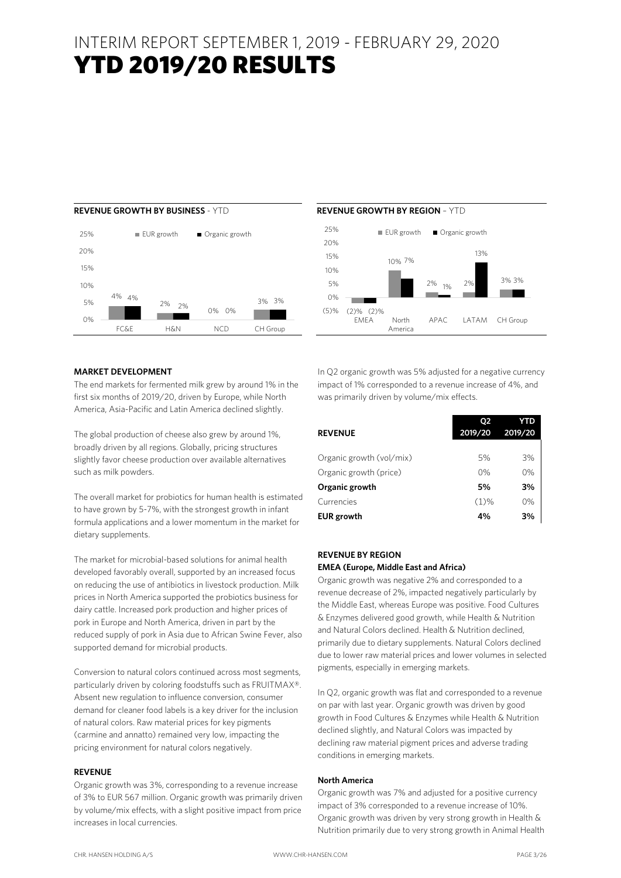### INTERIM REPORT SEPTEMBER 1, 2019 - FEBRUARY 29, 2020 YTD 2019/20 RESULTS





#### **MARKET DEVELOPMENT**

The end markets for fermented milk grew by around 1% in the first six months of 2019/20, driven by Europe, while North America, Asia-Pacific and Latin America declined slightly.

The global production of cheese also grew by around 1%, broadly driven by all regions. Globally, pricing structures slightly favor cheese production over available alternatives such as milk powders.

The overall market for probiotics for human health is estimated to have grown by 5-7%, with the strongest growth in infant formula applications and a lower momentum in the market for dietary supplements.

The market for microbial-based solutions for animal health developed favorably overall, supported by an increased focus on reducing the use of antibiotics in livestock production. Milk prices in North America supported the probiotics business for dairy cattle. Increased pork production and higher prices of pork in Europe and North America, driven in part by the reduced supply of pork in Asia due to African Swine Fever, also supported demand for microbial products.

Conversion to natural colors continued across most segments, particularly driven by coloring foodstuffs such as FRUITMAX®. Absent new regulation to influence conversion, consumer demand for cleaner food labels is a key driver for the inclusion of natural colors. Raw material prices for key pigments (carmine and annatto) remained very low, impacting the pricing environment for natural colors negatively.

#### **REVENUE**

Organic growth was 3%, corresponding to a revenue increase of 3% to EUR 567 million. Organic growth was primarily driven by volume/mix effects, with a slight positive impact from price increases in local currencies.

In Q2 organic growth was 5% adjusted for a negative currency impact of 1% corresponded to a revenue increase of 4%, and was primarily driven by volume/mix effects.

|                          | Ο2      | YTD     |
|--------------------------|---------|---------|
| <b>REVENUE</b>           | 2019/20 | 2019/20 |
| Organic growth (vol/mix) | 5%      | 3%      |
| Organic growth (price)   | 0%      | 0%      |
| Organic growth           | 5%      | 3%      |
| Currencies               | $(1)\%$ | 0%      |
| <b>EUR</b> growth        | 4%      | 3%      |

#### **REVENUE BY REGION**

#### **EMEA (Europe, Middle East and Africa)**

Organic growth was negative 2% and corresponded to a revenue decrease of 2%, impacted negatively particularly by the Middle East, whereas Europe was positive. Food Cultures & Enzymes delivered good growth, while Health & Nutrition and Natural Colors declined. Health & Nutrition declined, primarily due to dietary supplements. Natural Colors declined due to lower raw material prices and lower volumes in selected pigments, especially in emerging markets.

In Q2, organic growth was flat and corresponded to a revenue on par with last year. Organic growth was driven by good growth in Food Cultures & Enzymes while Health & Nutrition declined slightly, and Natural Colors was impacted by declining raw material pigment prices and adverse trading conditions in emerging markets.

#### **North America**

Organic growth was 7% and adjusted for a positive currency impact of 3% corresponded to a revenue increase of 10%. Organic growth was driven by very strong growth in Health & Nutrition primarily due to very strong growth in Animal Health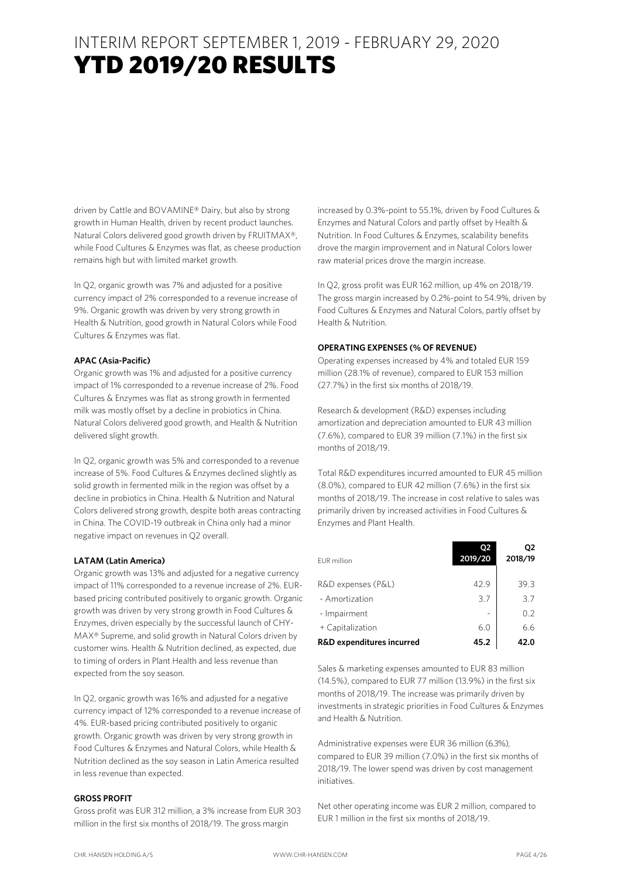driven by Cattle and BOVAMINE® Dairy, but also by strong growth in Human Health, driven by recent product launches. Natural Colors delivered good growth driven by FRUITMAX®, while Food Cultures & Enzymes was flat, as cheese production remains high but with limited market growth.

In Q2, organic growth was 7% and adjusted for a positive currency impact of 2% corresponded to a revenue increase of 9%. Organic growth was driven by very strong growth in Health & Nutrition, good growth in Natural Colors while Food Cultures & Enzymes was flat.

#### **APAC (Asia-Pacific)**

Organic growth was 1% and adjusted for a positive currency impact of 1% corresponded to a revenue increase of 2%. Food Cultures & Enzymes was flat as strong growth in fermented milk was mostly offset by a decline in probiotics in China. Natural Colors delivered good growth, and Health & Nutrition delivered slight growth.

In Q2, organic growth was 5% and corresponded to a revenue increase of 5%. Food Cultures & Enzymes declined slightly as solid growth in fermented milk in the region was offset by a decline in probiotics in China. Health & Nutrition and Natural Colors delivered strong growth, despite both areas contracting in China. The COVID-19 outbreak in China only had a minor negative impact on revenues in Q2 overall.

#### **LATAM (Latin America)**

Organic growth was 13% and adjusted for a negative currency impact of 11% corresponded to a revenue increase of 2%. EURbased pricing contributed positively to organic growth. Organic growth was driven by very strong growth in Food Cultures & Enzymes, driven especially by the successful launch of CHY-MAX® Supreme, and solid growth in Natural Colors driven by customer wins. Health & Nutrition declined, as expected, due to timing of orders in Plant Health and less revenue than expected from the soy season.

In Q2, organic growth was 16% and adjusted for a negative currency impact of 12% corresponded to a revenue increase of 4%. EUR-based pricing contributed positively to organic growth. Organic growth was driven by very strong growth in Food Cultures & Enzymes and Natural Colors, while Health & Nutrition declined as the soy season in Latin America resulted in less revenue than expected.

#### **GROSS PROFIT**

Gross profit was EUR 312 million, a 3% increase from EUR 303 million in the first six months of 2018/19. The gross margin

increased by 0.3%-point to 55.1%, driven by Food Cultures & Enzymes and Natural Colors and partly offset by Health & Nutrition. In Food Cultures & Enzymes, scalability benefits drove the margin improvement and in Natural Colors lower raw material prices drove the margin increase.

In Q2, gross profit was EUR 162 million, up 4% on 2018/19. The gross margin increased by 0.2%-point to 54.9%, driven by Food Cultures & Enzymes and Natural Colors, partly offset by Health & Nutrition.

#### **OPERATING EXPENSES (% OF REVENUE)**

Operating expenses increased by 4% and totaled EUR 159 million (28.1% of revenue), compared to EUR 153 million (27.7%) in the first six months of 2018/19.

Research & development (R&D) expenses including amortization and depreciation amounted to EUR 43 million (7.6%), compared to EUR 39 million (7.1%) in the first six months of 2018/19.

Total R&D expenditures incurred amounted to EUR 45 million (8.0%), compared to EUR 42 million (7.6%) in the first six months of 2018/19. The increase in cost relative to sales was primarily driven by increased activities in Food Cultures & Enzymes and Plant Health.

| <b>EUR</b> million        | Ο2<br>2019/20 | 02<br>2018/19 |
|---------------------------|---------------|---------------|
| R&D expenses (P&L)        | 42.9          | 39.3          |
| - Amortization            | 3.7           | 3.7           |
| - Impairment              |               | 0.2           |
| + Capitalization          | 6.0           | 6.6           |
| R&D expenditures incurred | 45.2          | 42.0          |

Sales & marketing expenses amounted to EUR 83 million (14.5%), compared to EUR 77 million (13.9%) in the first six months of 2018/19. The increase was primarily driven by investments in strategic priorities in Food Cultures & Enzymes and Health & Nutrition.

Administrative expenses were EUR 36 million (6.3%), compared to EUR 39 million (7.0%) in the first six months of 2018/19. The lower spend was driven by cost management initiatives.

Net other operating income was EUR 2 million, compared to EUR 1 million in the first six months of 2018/19.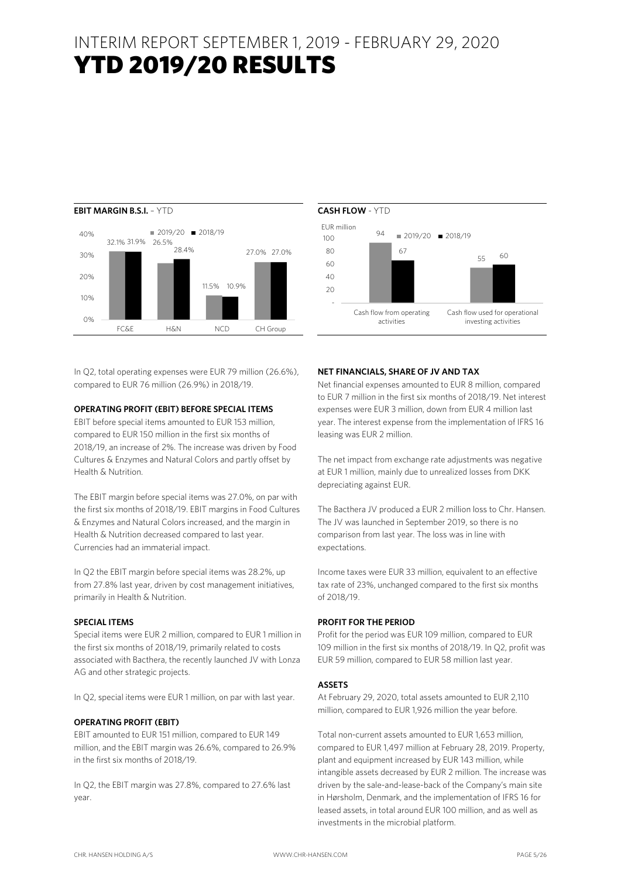### INTERIM REPORT SEPTEMBER 1, 2019 - FEBRUARY 29, 2020 YTD 2019/20 RESULTS



In Q2, total operating expenses were EUR 79 million (26.6%), compared to EUR 76 million (26.9%) in 2018/19.

#### **OPERATING PROFIT (EBIT) BEFORE SPECIAL ITEMS**

EBIT before special items amounted to EUR 153 million, compared to EUR 150 million in the first six months of 2018/19, an increase of 2%. The increase was driven by Food Cultures & Enzymes and Natural Colors and partly offset by Health & Nutrition.

The EBIT margin before special items was 27.0%, on par with the first six months of 2018/19. EBIT margins in Food Cultures & Enzymes and Natural Colors increased, and the margin in Health & Nutrition decreased compared to last year. Currencies had an immaterial impact.

In Q2 the EBIT margin before special items was 28.2%, up from 27.8% last year, driven by cost management initiatives, primarily in Health & Nutrition.

#### **SPECIAL ITEMS**

Special items were EUR 2 million, compared to EUR 1 million in the first six months of 2018/19, primarily related to costs associated with Bacthera, the recently launched JV with Lonza AG and other strategic projects.

In Q2, special items were EUR 1 million, on par with last year.

#### **OPERATING PROFIT (EBIT)**

EBIT amounted to EUR 151 million, compared to EUR 149 million, and the EBIT margin was 26.6%, compared to 26.9% in the first six months of 2018/19.

In Q2, the EBIT margin was 27.8%, compared to 27.6% last year.



#### **NET FINANCIALS, SHARE OF JV AND TAX**

Net financial expenses amounted to EUR 8 million, compared to EUR 7 million in the first six months of 2018/19. Net interest expenses were EUR 3 million, down from EUR 4 million last year. The interest expense from the implementation of IFRS 16 leasing was EUR 2 million.

The net impact from exchange rate adjustments was negative at EUR 1 million, mainly due to unrealized losses from DKK depreciating against EUR.

The Bacthera JV produced a EUR 2 million loss to Chr. Hansen. The JV was launched in September 2019, so there is no comparison from last year. The loss was in line with expectations.

Income taxes were EUR 33 million, equivalent to an effective tax rate of 23%, unchanged compared to the first six months of 2018/19.

#### **PROFIT FOR THE PERIOD**

Profit for the period was EUR 109 million, compared to EUR 109 million in the first six months of 2018/19. In Q2, profit was EUR 59 million, compared to EUR 58 million last year.

#### **ASSETS**

At February 29, 2020, total assets amounted to EUR 2,110 million, compared to EUR 1,926 million the year before.

Total non-current assets amounted to EUR 1,653 million, compared to EUR 1,497 million at February 28, 2019. Property, plant and equipment increased by EUR 143 million, while intangible assets decreased by EUR 2 million. The increase was driven by the sale-and-lease-back of the Company's main site in Hørsholm, Denmark, and the implementation of IFRS 16 for leased assets, in total around EUR 100 million, and as well as investments in the microbial platform.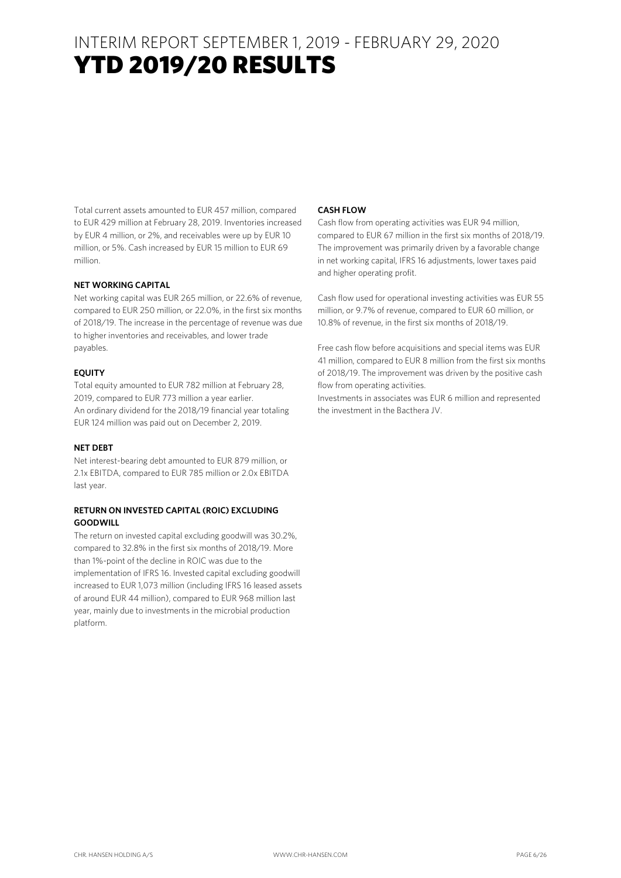### INTERIM REPORT SEPTEMBER 1, 2019 - FEBRUARY 29, 2020 YTD 2019/20 RESULTS

Total current assets amounted to EUR 457 million, compared to EUR 429 million at February 28, 2019. Inventories increased by EUR 4 million, or 2%, and receivables were up by EUR 10 million, or 5%. Cash increased by EUR 15 million to EUR 69 million.

#### **NET WORKING CAPITAL**

Net working capital was EUR 265 million, or 22.6% of revenue, compared to EUR 250 million, or 22.0%, in the first six months of 2018/19. The increase in the percentage of revenue was due to higher inventories and receivables, and lower trade payables.

#### **EQUITY**

Total equity amounted to EUR 782 million at February 28, 2019, compared to EUR 773 million a year earlier. An ordinary dividend for the 2018/19 financial year totaling EUR 124 million was paid out on December 2, 2019.

#### **NET DEBT**

Net interest-bearing debt amounted to EUR 879 million, or 2.1x EBITDA, compared to EUR 785 million or 2.0x EBITDA last year.

#### **RETURN ON INVESTED CAPITAL (ROIC) EXCLUDING GOODWILL**

The return on invested capital excluding goodwill was 30.2%, compared to 32.8% in the first six months of 2018/19. More than 1%-point of the decline in ROIC was due to the implementation of IFRS 16. Invested capital excluding goodwill increased to EUR 1,073 million (including IFRS 16 leased assets of around EUR 44 million), compared to EUR 968 million last year, mainly due to investments in the microbial production platform.

#### **CASH FLOW**

Cash flow from operating activities was EUR 94 million, compared to EUR 67 million in the first six months of 2018/19. The improvement was primarily driven by a favorable change in net working capital, IFRS 16 adjustments, lower taxes paid and higher operating profit.

Cash flow used for operational investing activities was EUR 55 million, or 9.7% of revenue, compared to EUR 60 million, or 10.8% of revenue, in the first six months of 2018/19.

Free cash flow before acquisitions and special items was EUR 41 million, compared to EUR 8 million from the first six months of 2018/19. The improvement was driven by the positive cash flow from operating activities.

Investments in associates was EUR 6 million and represented the investment in the Bacthera JV.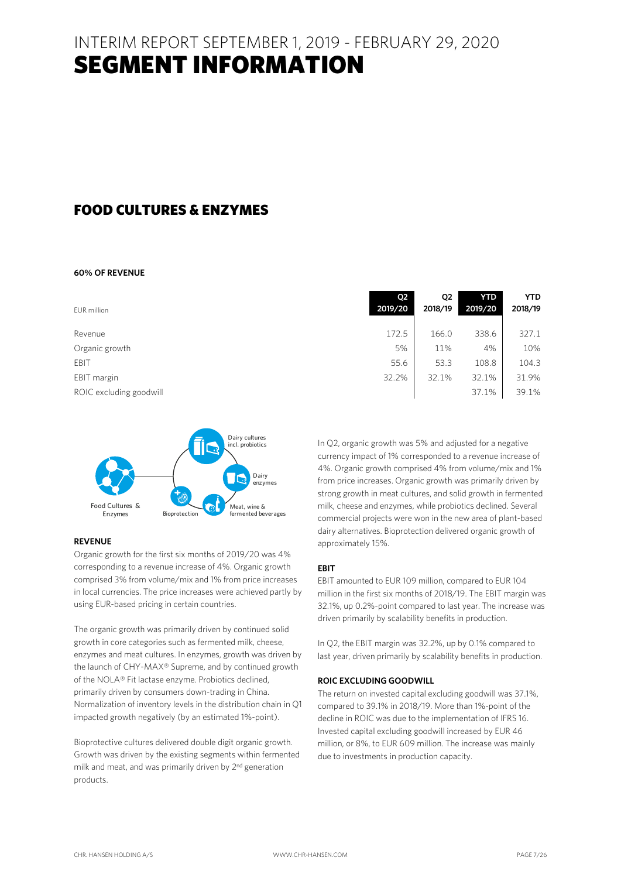### FOOD CULTURES & ENZYMES

#### **60% OF REVENUE**

|                         | Q <sub>2</sub> | Q <sub>2</sub> | <b>YTD</b> | <b>YTD</b> |
|-------------------------|----------------|----------------|------------|------------|
| EUR million             | 2019/20        | 2018/19        | 2019/20    | 2018/19    |
| Revenue                 | 172.5          | 166.0          | 338.6      | 327.1      |
| Organic growth          | 5%             | 11%            | 4%         | 10%        |
| EBIT                    | 55.6           | 53.3           | 108.8      | 104.3      |
| EBIT margin             | 32.2%          | 32.1%          | 32.1%      | 31.9%      |
| ROIC excluding goodwill |                |                | 37.1%      | 39.1%      |



#### **REVENUE**

Organic growth for the first six months of 2019/20 was 4% corresponding to a revenue increase of 4%. Organic growth comprised 3% from volume/mix and 1% from price increases in local currencies. The price increases were achieved partly by using EUR-based pricing in certain countries.

The organic growth was primarily driven by continued solid growth in core categories such as fermented milk, cheese, enzymes and meat cultures. In enzymes, growth was driven by the launch of CHY-MAX® Supreme, and by continued growth of the NOLA® Fit lactase enzyme. Probiotics declined, primarily driven by consumers down-trading in China. Normalization of inventory levels in the distribution chain in Q1 impacted growth negatively (by an estimated 1%-point).

Bioprotective cultures delivered double digit organic growth. Growth was driven by the existing segments within fermented milk and meat, and was primarily driven by 2<sup>nd</sup> generation products.

| In Q2, organic growth was 5% and adjusted for a negative      |
|---------------------------------------------------------------|
| currency impact of 1% corresponded to a revenue increase of   |
| 4%. Organic growth comprised 4% from volume/mix and 1%        |
| from price increases. Organic growth was primarily driven by  |
| strong growth in meat cultures, and solid growth in fermented |
| milk, cheese and enzymes, while probiotics declined. Several  |
| commercial projects were won in the new area of plant-based   |
| dairy alternatives. Bioprotection delivered organic growth of |
| approximately 15%.                                            |

#### **EBIT**

EBIT amounted to EUR 109 million, compared to EUR 104 million in the first six months of 2018/19. The EBIT margin was 32.1%, up 0.2%-point compared to last year. The increase was driven primarily by scalability benefits in production.

In Q2, the EBIT margin was 32.2%, up by 0.1% compared to last year, driven primarily by scalability benefits in production.

#### **ROIC EXCLUDING GOODWILL**

The return on invested capital excluding goodwill was 37.1%, compared to 39.1% in 2018/19. More than 1%-point of the decline in ROIC was due to the implementation of IFRS 16. Invested capital excluding goodwill increased by EUR 46 million, or 8%, to EUR 609 million. The increase was mainly due to investments in production capacity.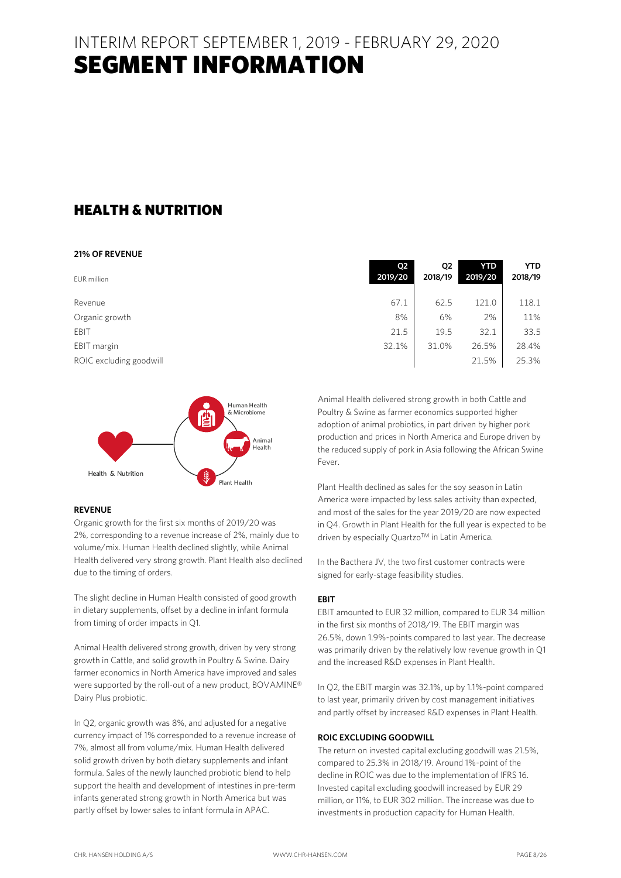### HEALTH & NUTRITION

#### **21% OF REVENUE**

| EUR million             | Q <sub>2</sub><br>2019/20 | Q2<br>2018/19 | <b>YTD</b><br>2019/20 | <b>YTD</b><br>2018/19 |
|-------------------------|---------------------------|---------------|-----------------------|-----------------------|
| Revenue                 | 67.1                      | 62.5          | 121.0                 | 118.1                 |
| Organic growth          | 8%                        | 6%            | 2%                    | 11%                   |
| EBIT                    | 21.5                      | 19.5          | 32.1                  | 33.5                  |
| EBIT margin             | 32.1%                     | 31.0%         | 26.5%                 | 28.4%                 |
| ROIC excluding goodwill |                           |               | 21.5%                 | 25.3%                 |



#### **REVENUE**

Organic growth for the first six months of 2019/20 was 2%, corresponding to a revenue increase of 2%, mainly due to volume/mix. Human Health declined slightly, while Animal Health delivered very strong growth. Plant Health also declined due to the timing of orders.

The slight decline in Human Health consisted of good growth in dietary supplements, offset by a decline in infant formula from timing of order impacts in Q1.

Animal Health delivered strong growth, driven by very strong growth in Cattle, and solid growth in Poultry & Swine. Dairy farmer economics in North America have improved and sales were supported by the roll-out of a new product, BOVAMINE® Dairy Plus probiotic.

In Q2, organic growth was 8%, and adjusted for a negative currency impact of 1% corresponded to a revenue increase of 7%, almost all from volume/mix. Human Health delivered solid growth driven by both dietary supplements and infant formula. Sales of the newly launched probiotic blend to help support the health and development of intestines in pre-term infants generated strong growth in North America but was partly offset by lower sales to infant formula in APAC.

| 2019/20 | 2018/19 | 2019/20 | 2018/19 |
|---------|---------|---------|---------|
|         |         |         |         |
| 67.1    | 62.5    | 121.0   | 118.1   |
| 8%      | 6%      | 2%      | 11%     |
| 21.5    | 19.5    | 32.1    | 33.5    |
| 32.1%   | 31.0%   | 26.5%   | 28.4%   |
|         |         | 21.5%   | 25.3%   |
|         |         |         |         |
|         |         |         |         |

Animal Health delivered strong growth in both Cattle and Poultry & Swine as farmer economics supported higher adoption of animal probiotics, in part driven by higher pork production and prices in North America and Europe driven by the reduced supply of pork in Asia following the African Swine Fever.

Plant Health declined as sales for the soy season in Latin America were impacted by less sales activity than expected, and most of the sales for the year 2019/20 are now expected in Q4. Growth in Plant Health for the full year is expected to be driven by especially Quartzo™ in Latin America.

In the Bacthera JV, the two first customer contracts were signed for early-stage feasibility studies.

#### **EBIT**

EBIT amounted to EUR 32 million, compared to EUR 34 million in the first six months of 2018/19. The EBIT margin was 26.5%, down 1.9%-points compared to last year. The decrease was primarily driven by the relatively low revenue growth in Q1 and the increased R&D expenses in Plant Health.

In Q2, the EBIT margin was 32.1%, up by 1.1%-point compared to last year, primarily driven by cost management initiatives and partly offset by increased R&D expenses in Plant Health.

#### **ROIC EXCLUDING GOODWILL**

The return on invested capital excluding goodwill was 21.5%, compared to 25.3% in 2018/19. Around 1%-point of the decline in ROIC was due to the implementation of IFRS 16. Invested capital excluding goodwill increased by EUR 29 million, or 11%, to EUR 302 million. The increase was due to investments in production capacity for Human Health.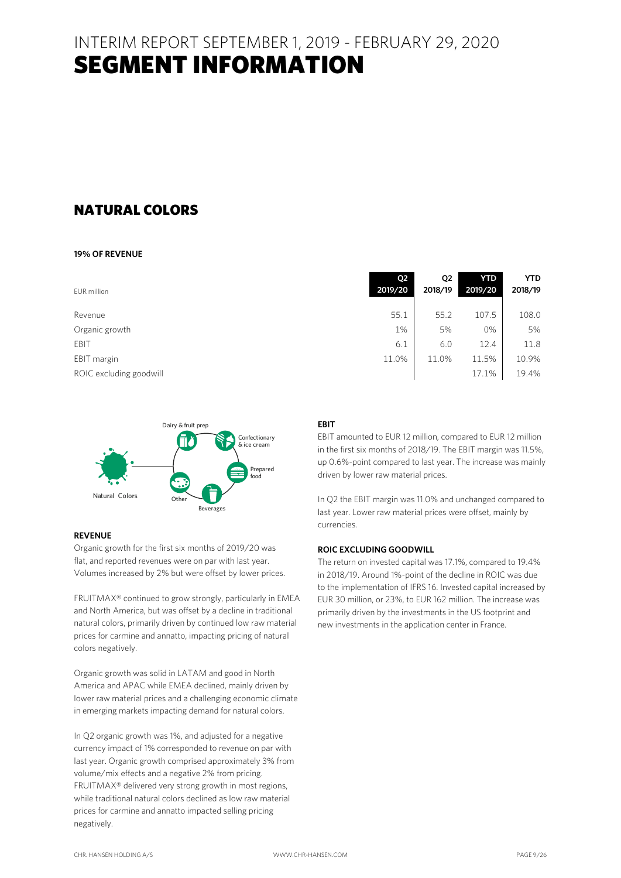### NATURAL COLORS

#### **19% OF REVENUE**

| EUR million             | <b>O2</b><br>2019/20 | Q <sub>2</sub><br>2018/19 | <b>YTD</b><br>2019/20 | <b>YTD</b><br>2018/19 |
|-------------------------|----------------------|---------------------------|-----------------------|-----------------------|
|                         |                      |                           |                       |                       |
| Revenue                 | 55.1                 | 55.2                      | 107.5                 | 108.0                 |
| Organic growth          | 1%                   | 5%                        | 0%                    | 5%                    |
| <b>FBIT</b>             | 6.1                  | 6.0                       | 12.4                  | 11.8                  |
| EBIT margin             | 11.0%                | 11.0%                     | 11.5%                 | 10.9%                 |
| ROIC excluding goodwill |                      |                           | 17.1%                 | 19.4%                 |
|                         |                      |                           |                       |                       |



#### **REVENUE**

Organic growth for the first six months of 2019/20 was flat, and reported revenues were on par with last year. Volumes increased by 2% but were offset by lower prices.

FRUITMAX® continued to grow strongly, particularly in EMEA and North America, but was offset by a decline in traditional natural colors, primarily driven by continued low raw material prices for carmine and annatto, impacting pricing of natural colors negatively.

Organic growth was solid in LATAM and good in North America and APAC while EMEA declined, mainly driven by lower raw material prices and a challenging economic climate in emerging markets impacting demand for natural colors.

In Q2 organic growth was 1%, and adjusted for a negative currency impact of 1% corresponded to revenue on par with last year. Organic growth comprised approximately 3% from volume/mix effects and a negative 2% from pricing. FRUITMAX® delivered very strong growth in most regions, while traditional natural colors declined as low raw material prices for carmine and annatto impacted selling pricing negatively.

EBIT amounted to EUR 12 million, compared to EUR 12 million in the first six months of 2018/19. The EBIT margin was 11.5%, up 0.6%-point compared to last year. The increase was mainly driven by lower raw material prices.

In Q2 the EBIT margin was 11.0% and unchanged compared to last year. Lower raw material prices were offset, mainly by currencies.

#### **ROIC EXCLUDING GOODWILL**

The return on invested capital was 17.1%, compared to 19.4% in 2018/19. Around 1%-point of the decline in ROIC was due to the implementation of IFRS 16. Invested capital increased by EUR 30 million, or 23%, to EUR 162 million. The increase was primarily driven by the investments in the US footprint and new investments in the application center in France.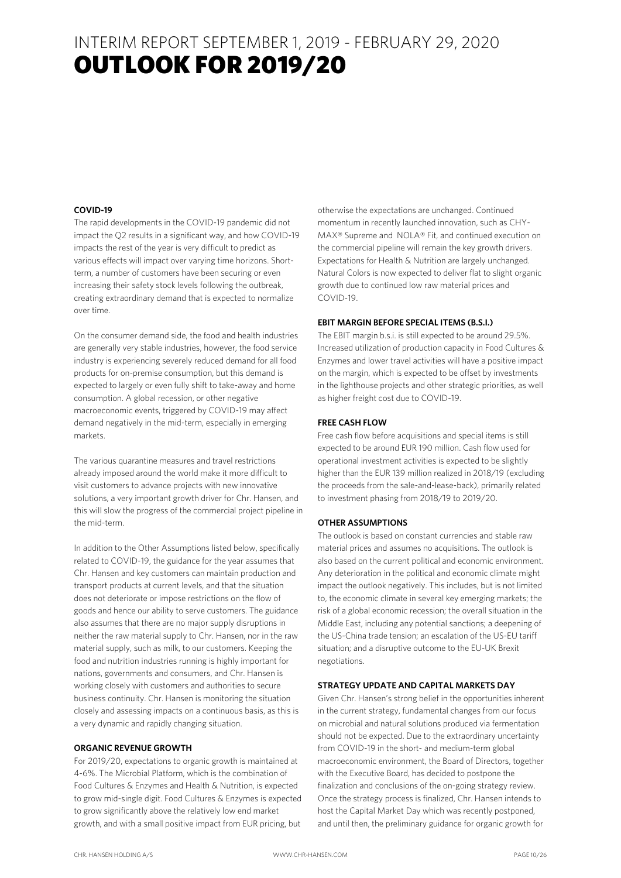### INTERIM REPORT SEPTEMBER 1, 2019 - FEBRUARY 29, 2020 **OUTLOOK FOR 2019/20**

#### **COVID-19**

The rapid developments in the COVID-19 pandemic did not impact the Q2 results in a significant way, and how COVID-19 impacts the rest of the year is very difficult to predict as various effects will impact over varying time horizons. Shortterm, a number of customers have been securing or even increasing their safety stock levels following the outbreak, creating extraordinary demand that is expected to normalize over time.

On the consumer demand side, the food and health industries are generally very stable industries, however, the food service industry is experiencing severely reduced demand for all food products for on-premise consumption, but this demand is expected to largely or even fully shift to take-away and home consumption. A global recession, or other negative macroeconomic events, triggered by COVID-19 may affect demand negatively in the mid-term, especially in emerging markets.

The various quarantine measures and travel restrictions already imposed around the world make it more difficult to visit customers to advance projects with new innovative solutions, a very important growth driver for Chr. Hansen, and this will slow the progress of the commercial project pipeline in the mid-term.

In addition to the Other Assumptions listed below, specifically related to COVID-19, the guidance for the year assumes that Chr. Hansen and key customers can maintain production and transport products at current levels, and that the situation does not deteriorate or impose restrictions on the flow of goods and hence our ability to serve customers. The guidance also assumes that there are no major supply disruptions in neither the raw material supply to Chr. Hansen, nor in the raw material supply, such as milk, to our customers. Keeping the food and nutrition industries running is highly important for nations, governments and consumers, and Chr. Hansen is working closely with customers and authorities to secure business continuity. Chr. Hansen is monitoring the situation closely and assessing impacts on a continuous basis, as this is a very dynamic and rapidly changing situation.

#### **ORGANIC REVENUE GROWTH**

For 2019/20, expectations to organic growth is maintained at 4-6%. The Microbial Platform, which is the combination of Food Cultures & Enzymes and Health & Nutrition, is expected to grow mid-single digit. Food Cultures & Enzymes is expected to grow significantly above the relatively low end market growth, and with a small positive impact from EUR pricing, but

otherwise the expectations are unchanged. Continued momentum in recently launched innovation, such as CHY-MAX® Supreme and NOLA® Fit, and continued execution on the commercial pipeline will remain the key growth drivers. Expectations for Health & Nutrition are largely unchanged. Natural Colors is now expected to deliver flat to slight organic growth due to continued low raw material prices and COVID-19.

#### **EBIT MARGIN BEFORE SPECIAL ITEMS (B.S.I.)**

The EBIT margin b.s.i. is still expected to be around 29.5%. Increased utilization of production capacity in Food Cultures & Enzymes and lower travel activities will have a positive impact on the margin, which is expected to be offset by investments in the lighthouse projects and other strategic priorities, as well as higher freight cost due to COVID-19.

#### **FREE CASH FLOW**

Free cash flow before acquisitions and special items is still expected to be around EUR 190 million. Cash flow used for operational investment activities is expected to be slightly higher than the EUR 139 million realized in 2018/19 (excluding the proceeds from the sale-and-lease-back), primarily related to investment phasing from 2018/19 to 2019/20.

#### **OTHER ASSUMPTIONS**

The outlook is based on constant currencies and stable raw material prices and assumes no acquisitions. The outlook is also based on the current political and economic environment. Any deterioration in the political and economic climate might impact the outlook negatively. This includes, but is not limited to, the economic climate in several key emerging markets; the risk of a global economic recession; the overall situation in the Middle East, including any potential sanctions; a deepening of the US-China trade tension; an escalation of the US-EU tariff situation; and a disruptive outcome to the EU-UK Brexit negotiations.

#### **STRATEGY UPDATE AND CAPITAL MARKETS DAY**

Given Chr. Hansen's strong belief in the opportunities inherent in the current strategy, fundamental changes from our focus on microbial and natural solutions produced via fermentation should not be expected. Due to the extraordinary uncertainty from COVID-19 in the short- and medium-term global macroeconomic environment, the Board of Directors, together with the Executive Board, has decided to postpone the finalization and conclusions of the on-going strategy review. Once the strategy process is finalized, Chr. Hansen intends to host the Capital Market Day which was recently postponed, and until then, the preliminary guidance for organic growth for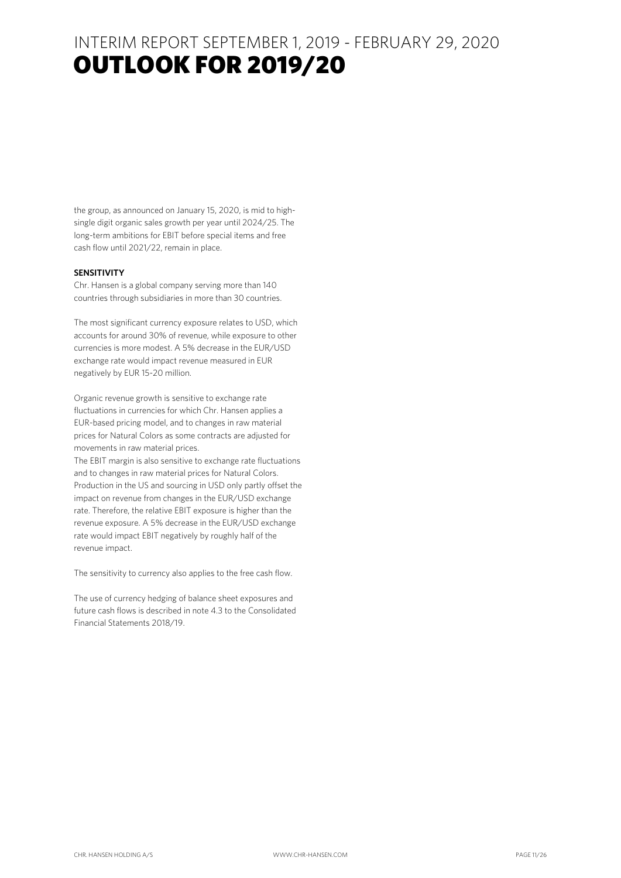### INTERIM REPORT SEPTEMBER 1, 2019 - FEBRUARY 29, 2020 **OUTLOOK FOR 2019/20**

the group, as announced on January 15, 2020, is mid to highsingle digit organic sales growth per year until 2024/25. The long-term ambitions for EBIT before special items and free cash flow until 2021/22, remain in place.

#### **SENSITIVITY**

Chr. Hansen is a global company serving more than 140 countries through subsidiaries in more than 30 countries.

The most significant currency exposure relates to USD, which accounts for around 30% of revenue, while exposure to other currencies is more modest. A 5% decrease in the EUR/USD exchange rate would impact revenue measured in EUR negatively by EUR 15-20 million.

Organic revenue growth is sensitive to exchange rate fluctuations in currencies for which Chr. Hansen applies a EUR-based pricing model, and to changes in raw material prices for Natural Colors as some contracts are adjusted for movements in raw material prices.

The EBIT margin is also sensitive to exchange rate fluctuations and to changes in raw material prices for Natural Colors. Production in the US and sourcing in USD only partly offset the impact on revenue from changes in the EUR/USD exchange rate. Therefore, the relative EBIT exposure is higher than the revenue exposure. A 5% decrease in the EUR/USD exchange rate would impact EBIT negatively by roughly half of the revenue impact.

The sensitivity to currency also applies to the free cash flow.

The use of currency hedging of balance sheet exposures and future cash flows is described in note 4.3 to the Consolidated Financial Statements 2018/19.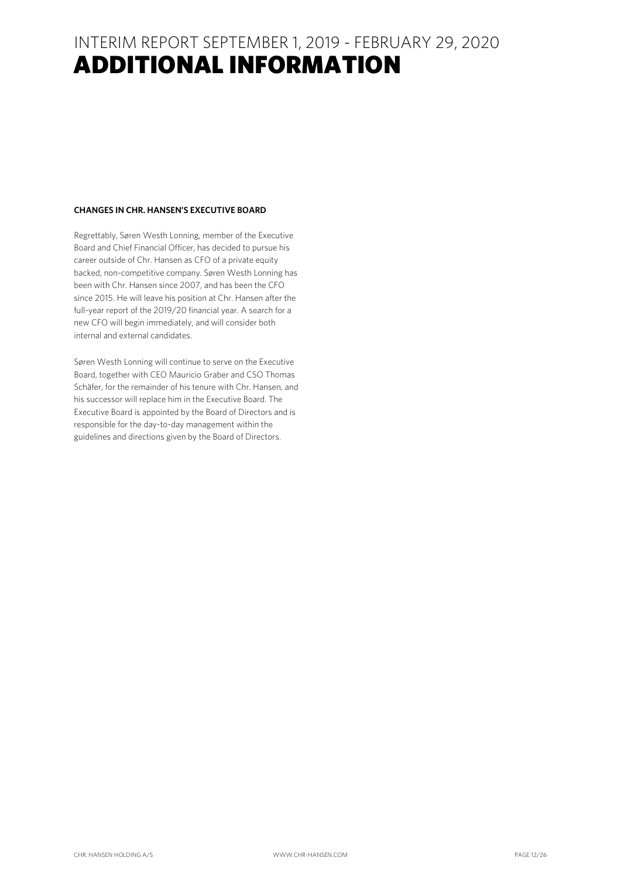### INTERIM REPORT SEPTEMBER 1, 2019 - FEBRUARY 29, 2020 ADDITIONAL INFORMATION

### **CHANGES IN CHR. HANSEN'S EXECUTIVE BOARD**

Regrettably, Søren Westh Lonning, member of the Executive Board and Chief Financial Officer, has decided to pursue his career outside of Chr. Hansen as CFO of a private equity backed, non-competitive company. Søren Westh Lonning has been with Chr. Hansen since 2007, and has been the CFO since 2015. He will leave his position at Chr. Hansen after the full-year report of the 2019/20 financial year. A search for a new CFO will begin immediately, and will consider both internal and external candidates.

Søren Westh Lonning will continue to serve on the Executive Board, together with CEO Mauricio Graber and CSO Thomas Schäfer, for the remainder of his tenure with Chr. Hansen, and his successor will replace him in the Executive Board. The Executive Board is appointed by the Board of Directors and is responsible for the day-to-day management within the guidelines and directions given by the Board of Directors.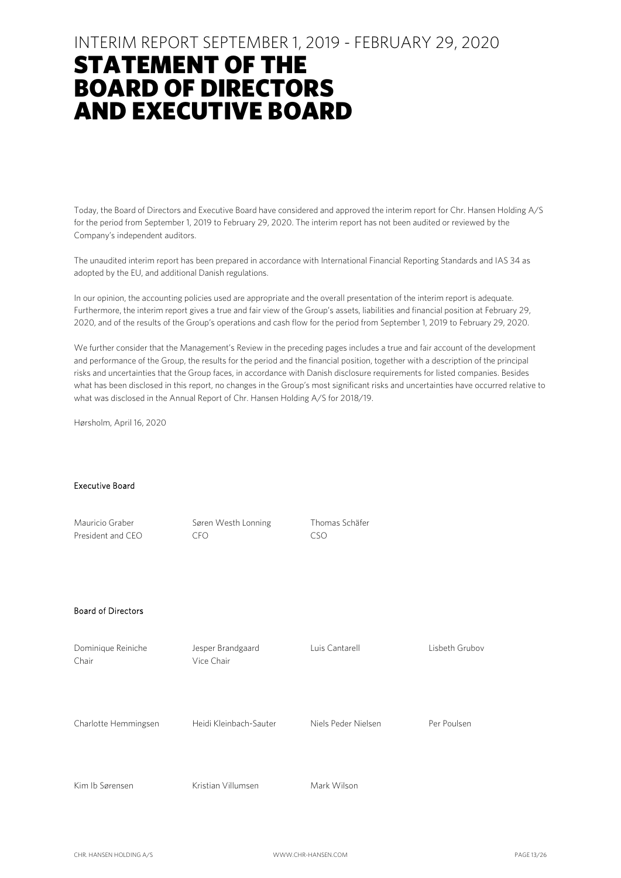### INTERIM REPORT SEPTEMBER 1, 2019 - FEBRUARY 29, 2020

# STATEMENT OF THE BOARD OF DIRECTORS AND EXECUTIVE BOARD

Today, the Board of Directors and Executive Board have considered and approved the interim report for Chr. Hansen Holding A/S for the period from September 1, 2019 to February 29, 2020. The interim report has not been audited or reviewed by the Company's independent auditors.

The unaudited interim report has been prepared in accordance with International Financial Reporting Standards and IAS 34 as adopted by the EU, and additional Danish regulations.

In our opinion, the accounting policies used are appropriate and the overall presentation of the interim report is adequate. Furthermore, the interim report gives a true and fair view of the Group's assets, liabilities and financial position at February 29, 2020, and of the results of the Group's operations and cash flow for the period from September 1, 2019 to February 29, 2020.

We further consider that the Management's Review in the preceding pages includes a true and fair account of the development and performance of the Group, the results for the period and the financial position, together with a description of the principal risks and uncertainties that the Group faces, in accordance with Danish disclosure requirements for listed companies. Besides what has been disclosed in this report, no changes in the Group's most significant risks and uncertainties have occurred relative to what was disclosed in the Annual Report of Chr. Hansen Holding A/S for 2018/19.

Hørsholm, April 16, 2020

#### Executive Board

| Mauricio Graber<br>President and CEO | Søren Westh Lonning<br><b>CFO</b> | Thomas Schäfer<br><b>CSO</b> |                |
|--------------------------------------|-----------------------------------|------------------------------|----------------|
| <b>Board of Directors</b>            |                                   |                              |                |
| Dominique Reiniche<br>Chair          | Jesper Brandgaard<br>Vice Chair   | Luis Cantarell               | Lisbeth Grubov |
| Charlotte Hemmingsen                 | Heidi Kleinbach-Sauter            | Niels Peder Nielsen          | Per Poulsen    |
| Kim Ib Sørensen                      | Kristian Villumsen                | Mark Wilson                  |                |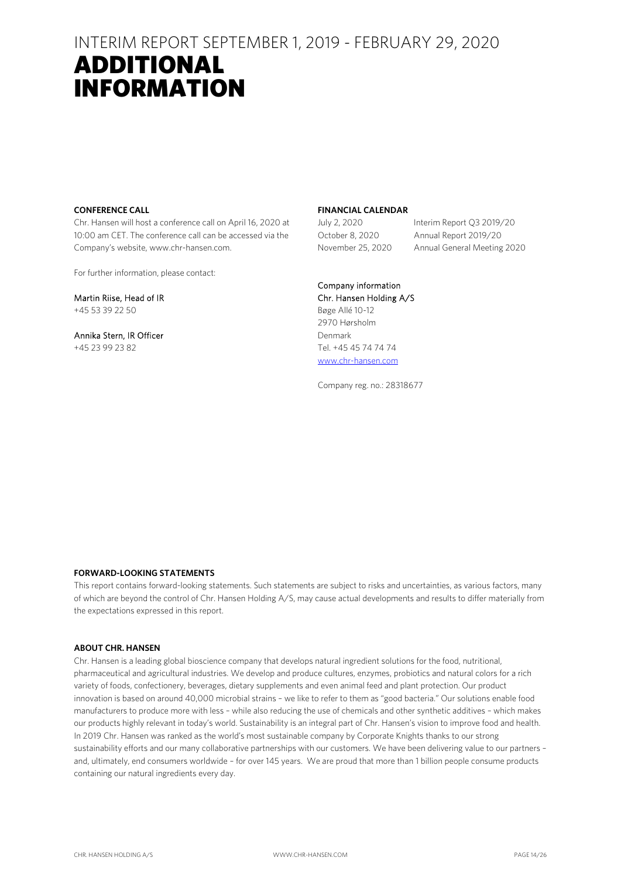### INTERIM REPORT SEPTEMBER 1, 2019 - FEBRUARY 29, 2020

### ADDITIONAL INFORMATION

#### **CONFERENCE CALL**

Chr. Hansen will host a conference call on April 16, 2020 at 10:00 am CET. The conference call can be accessed via the Company's website, www.chr-hansen.com.

For further information, please contact:

Martin Riise, Head of IR +45 53 39 22 50

Annika Stern, IR Officer +45 23 99 23 82

#### **FINANCIAL CALENDAR**

July 2, 2020 Interim Report Q3 2019/20 October 8, 2020 Annual Report 2019/20 November 25, 2020 Annual General Meeting 2020

Company information Chr. Hansen Holding A/S Bøge Allé 10-12 2970 Hørsholm Denmark Tel. +45 45 74 74 74 www.chr-hansen.com

Company reg. no.: 28318677

#### **FORWARD-LOOKING STATEMENTS**

This report contains forward-looking statements. Such statements are subject to risks and uncertainties, as various factors, many of which are beyond the control of Chr. Hansen Holding A/S, may cause actual developments and results to differ materially from the expectations expressed in this report.

#### **ABOUT CHR. HANSEN**

Chr. Hansen is a leading global bioscience company that develops natural ingredient solutions for the food, nutritional, pharmaceutical and agricultural industries. We develop and produce cultures, enzymes, probiotics and natural colors for a rich variety of foods, confectionery, beverages, dietary supplements and even animal feed and plant protection. Our product innovation is based on around 40,000 microbial strains – we like to refer to them as "good bacteria." Our solutions enable food manufacturers to produce more with less – while also reducing the use of chemicals and other synthetic additives – which makes our products highly relevant in today's world. Sustainability is an integral part of Chr. Hansen's vision to improve food and health. In 2019 Chr. Hansen was ranked as the world's most sustainable company by Corporate Knights thanks to our strong sustainability efforts and our many collaborative partnerships with our customers. We have been delivering value to our partners – and, ultimately, end consumers worldwide – for over 145 years. We are proud that more than 1 billion people consume products containing our natural ingredients every day.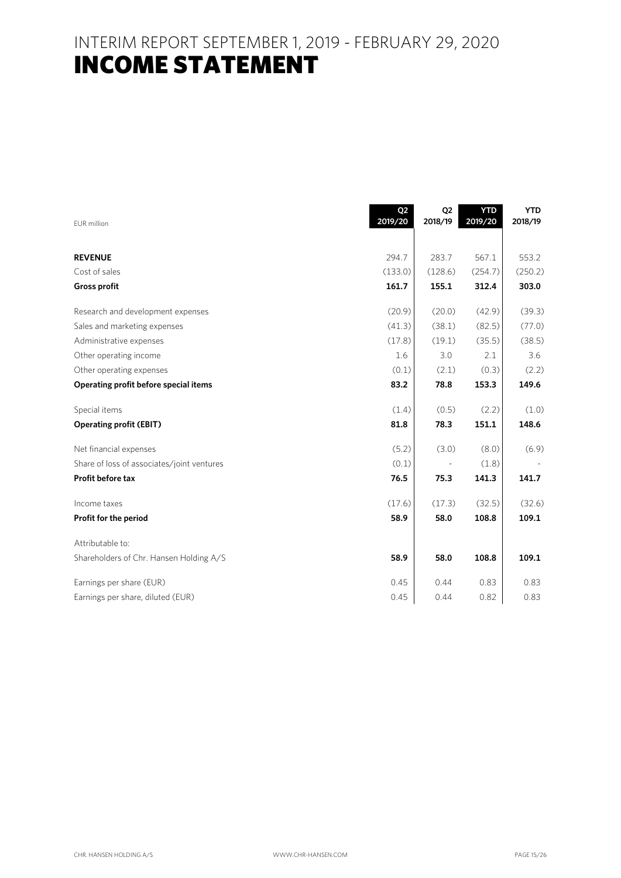INTERIM REPORT SEPTEMBER 1, 2019 - FEBRUARY 29, 2020 **INCOME STATEMENT** 

| EUR million                                | Q <sub>2</sub><br>2019/20 | Q <sub>2</sub><br>2018/19 | <b>YTD</b><br>2019/20 | <b>YTD</b><br>2018/19 |
|--------------------------------------------|---------------------------|---------------------------|-----------------------|-----------------------|
|                                            |                           |                           |                       |                       |
| <b>REVENUE</b>                             | 294.7                     | 283.7                     | 567.1                 | 553.2                 |
| Cost of sales                              | (133.0)                   | (128.6)                   | (254.7)               | (250.2)               |
| <b>Gross profit</b>                        | 161.7                     | 155.1                     | 312.4                 | 303.0                 |
| Research and development expenses          | (20.9)                    | (20.0)                    | (42.9)                | (39.3)                |
| Sales and marketing expenses               | (41.3)                    | (38.1)                    | (82.5)                | (77.0)                |
| Administrative expenses                    | (17.8)                    | (19.1)                    | (35.5)                | (38.5)                |
| Other operating income                     | 1.6                       | 3.0                       | 2.1                   | 3.6                   |
| Other operating expenses                   | (0.1)                     | (2.1)                     | (0.3)                 | (2.2)                 |
| Operating profit before special items      | 83.2                      | 78.8                      | 153.3                 | 149.6                 |
| Special items                              | (1.4)                     | (0.5)                     | (2.2)                 | (1.0)                 |
| <b>Operating profit (EBIT)</b>             | 81.8                      | 78.3                      | 151.1                 | 148.6                 |
| Net financial expenses                     | (5.2)                     | (3.0)                     | (8.0)                 | (6.9)                 |
| Share of loss of associates/joint ventures | (0.1)                     |                           | (1.8)                 |                       |
| Profit before tax                          | 76.5                      | 75.3                      | 141.3                 | 141.7                 |
| Income taxes                               | (17.6)                    | (17.3)                    | (32.5)                | (32.6)                |
| Profit for the period                      | 58.9                      | 58.0                      | 108.8                 | 109.1                 |
| Attributable to:                           |                           |                           |                       |                       |
| Shareholders of Chr. Hansen Holding A/S    | 58.9                      | 58.0                      | 108.8                 | 109.1                 |
| Earnings per share (EUR)                   | 0.45                      | 0.44                      | 0.83                  | 0.83                  |
| Earnings per share, diluted (EUR)          | 0.45                      | 0.44                      | 0.82                  | 0.83                  |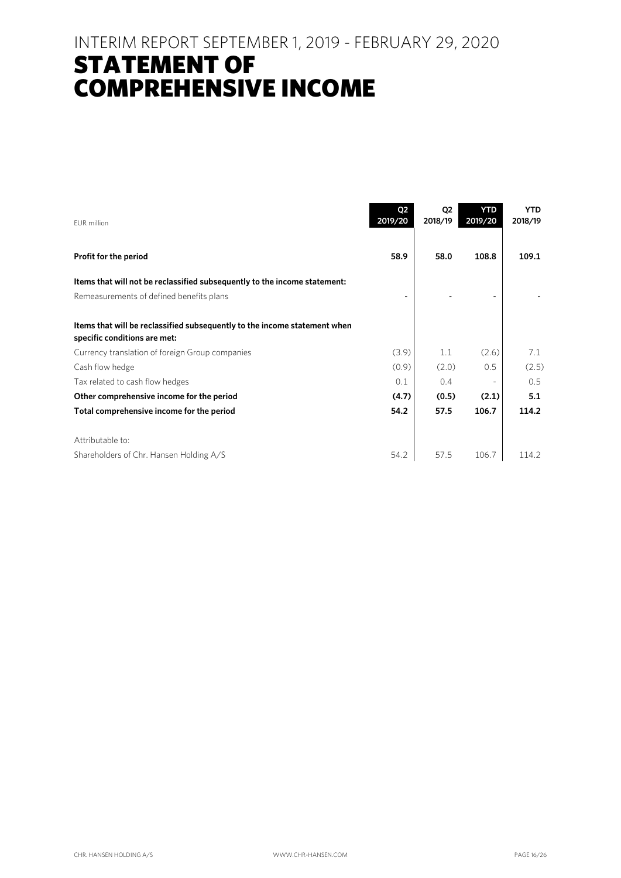### INTERIM REPORT SEPTEMBER 1, 2019 - FEBRUARY 29, 2020 STATEMENT OF COMPREHENSIVE INCOME

| FUR million                                                                                               | Q <sub>2</sub><br>2019/20 | Q <sub>2</sub><br>2018/19 | <b>YTD</b><br>2019/20 | <b>YTD</b><br>2018/19 |
|-----------------------------------------------------------------------------------------------------------|---------------------------|---------------------------|-----------------------|-----------------------|
| Profit for the period                                                                                     | 58.9                      | 58.0                      | 108.8                 | 109.1                 |
| Items that will not be reclassified subsequently to the income statement:                                 |                           |                           |                       |                       |
| Remeasurements of defined benefits plans                                                                  |                           |                           |                       |                       |
| Items that will be reclassified subsequently to the income statement when<br>specific conditions are met: |                           |                           |                       |                       |
| Currency translation of foreign Group companies                                                           | (3.9)                     | 1.1                       | (2.6)                 | 7.1                   |
| Cash flow hedge                                                                                           | (0.9)                     | (2.0)                     | 0.5                   | (2.5)                 |
| Tax related to cash flow hedges                                                                           | 0.1                       | 0.4                       |                       | 0.5                   |
| Other comprehensive income for the period                                                                 | (4.7)                     | (0.5)                     | (2.1)                 | 5.1                   |
| Total comprehensive income for the period                                                                 | 54.2                      | 57.5                      | 106.7                 | 114.2                 |
| Attributable to:                                                                                          |                           |                           |                       |                       |
| Shareholders of Chr. Hansen Holding A/S                                                                   | 54.2                      | 57.5                      | 106.7                 | 114.2                 |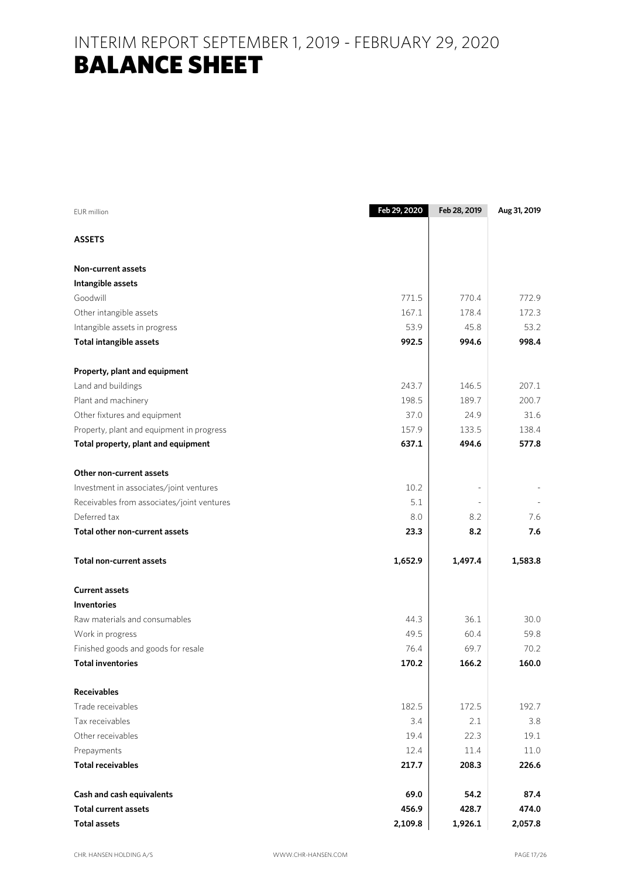## INTERIM REPORT SEPTEMBER 1, 2019 - FEBRUARY 29, 2020 BALANCE SHEET

| <b>EUR</b> million                         | Feb 29, 2020 | Feb 28, 2019 | Aug 31, 2019 |
|--------------------------------------------|--------------|--------------|--------------|
| <b>ASSETS</b>                              |              |              |              |
| <b>Non-current assets</b>                  |              |              |              |
| Intangible assets                          |              |              |              |
| Goodwill                                   | 771.5        | 770.4        | 772.9        |
| Other intangible assets                    | 167.1        | 178.4        | 172.3        |
| Intangible assets in progress              | 53.9         | 45.8         | 53.2         |
| <b>Total intangible assets</b>             | 992.5        | 994.6        | 998.4        |
| Property, plant and equipment              |              |              |              |
| Land and buildings                         | 243.7        | 146.5        | 207.1        |
| Plant and machinery                        | 198.5        | 189.7        | 200.7        |
| Other fixtures and equipment               | 37.0         | 24.9         | 31.6         |
| Property, plant and equipment in progress  | 157.9        | 133.5        | 138.4        |
| Total property, plant and equipment        | 637.1        | 494.6        | 577.8        |
| Other non-current assets                   |              |              |              |
| Investment in associates/joint ventures    | 10.2         |              |              |
| Receivables from associates/joint ventures | 5.1          |              |              |
| Deferred tax                               | 8.0          | 8.2          | 7.6          |
| Total other non-current assets             | 23.3         | 8.2          | 7.6          |
| <b>Total non-current assets</b>            | 1,652.9      | 1,497.4      | 1,583.8      |
| <b>Current assets</b>                      |              |              |              |
| <b>Inventories</b>                         |              |              |              |
| Raw materials and consumables              | 44.3         | 36.1         | 30.0         |
| Work in progress                           | 49.5         | 60.4         | 59.8         |
| Finished goods and goods for resale        | 76.4         | 69.7         | 70.2         |
| <b>Total inventories</b>                   | 170.2        | 166.2        | 160.0        |
| <b>Receivables</b>                         |              |              |              |
| Trade receivables                          | 182.5        | 172.5        | 192.7        |
| Tax receivables                            | 3.4          | 2.1          | 3.8          |
| Other receivables                          | 19.4         | 22.3         | 19.1         |
| Prepayments                                | 12.4         | 11.4         | 11.0         |
| <b>Total receivables</b>                   | 217.7        | 208.3        | 226.6        |
| Cash and cash equivalents                  | 69.0         | 54.2         | 87.4         |
| <b>Total current assets</b>                | 456.9        | 428.7        | 474.0        |
| <b>Total assets</b>                        | 2,109.8      | 1,926.1      | 2,057.8      |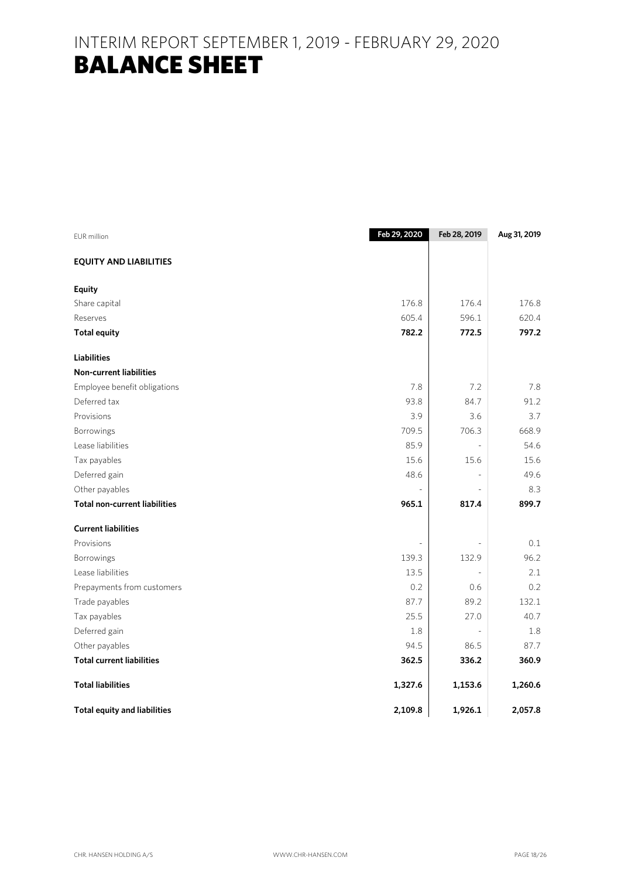## INTERIM REPORT SEPTEMBER 1, 2019 - FEBRUARY 29, 2020 BALANCE SHEET

| EUR million                          | Feb 29, 2020 | Feb 28, 2019             | Aug 31, 2019 |
|--------------------------------------|--------------|--------------------------|--------------|
| <b>EQUITY AND LIABILITIES</b>        |              |                          |              |
| <b>Equity</b>                        |              |                          |              |
| Share capital                        | 176.8        | 176.4                    | 176.8        |
| Reserves                             | 605.4        | 596.1                    | 620.4        |
| <b>Total equity</b>                  | 782.2        | 772.5                    | 797.2        |
| <b>Liabilities</b>                   |              |                          |              |
| <b>Non-current liabilities</b>       |              |                          |              |
| Employee benefit obligations         | 7.8          | 7.2                      | 7.8          |
| Deferred tax                         | 93.8         | 84.7                     | 91.2         |
| Provisions                           | 3.9          | 3.6                      | 3.7          |
| Borrowings                           | 709.5        | 706.3                    | 668.9        |
| Lease liabilities                    | 85.9         | $\overline{\phantom{a}}$ | 54.6         |
| Tax payables                         | 15.6         | 15.6                     | 15.6         |
| Deferred gain                        | 48.6         |                          | 49.6         |
| Other payables                       |              |                          | 8.3          |
| <b>Total non-current liabilities</b> | 965.1        | 817.4                    | 899.7        |
| <b>Current liabilities</b>           |              |                          |              |
| Provisions                           |              |                          | 0.1          |
| Borrowings                           | 139.3        | 132.9                    | 96.2         |
| Lease liabilities                    | 13.5         |                          | 2.1          |
| Prepayments from customers           | 0.2          | 0.6                      | 0.2          |
| Trade payables                       | 87.7         | 89.2                     | 132.1        |
| Tax payables                         | 25.5         | 27.0                     | 40.7         |
| Deferred gain                        | 1.8          |                          | 1.8          |
| Other payables                       | 94.5         | 86.5                     | 87.7         |
| <b>Total current liabilities</b>     | 362.5        | 336.2                    | 360.9        |
| <b>Total liabilities</b>             | 1,327.6      | 1,153.6                  | 1,260.6      |
| <b>Total equity and liabilities</b>  | 2,109.8      | 1,926.1                  | 2,057.8      |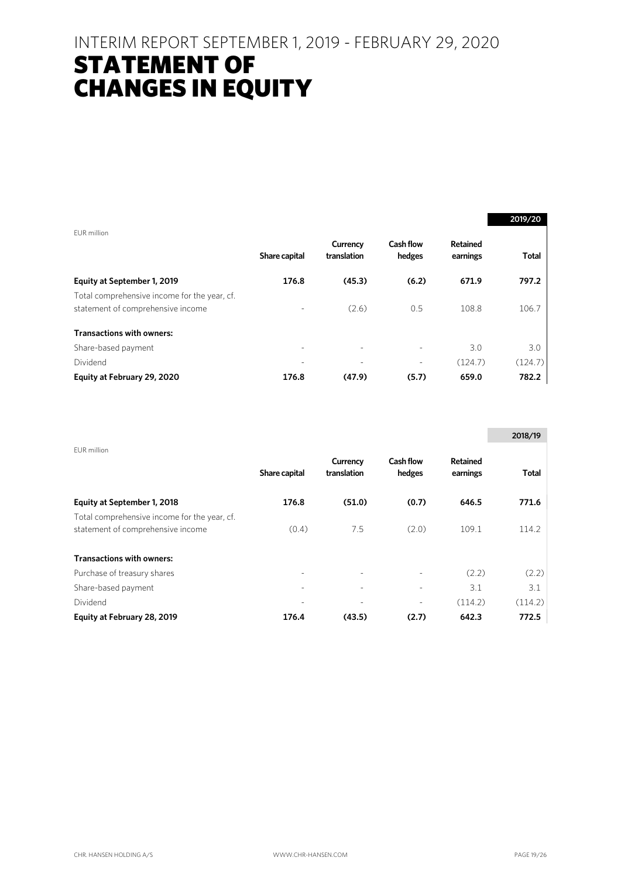### INTERIM REPORT SEPTEMBER 1, 2019 - FEBRUARY 29, 2020

## STATEMENT OF CHANGES IN EQUITY

|                                              |                          |                         |                     |                      | 2019/20      |
|----------------------------------------------|--------------------------|-------------------------|---------------------|----------------------|--------------|
| EUR million                                  |                          |                         |                     |                      |              |
|                                              | Share capital            | Currency<br>translation | Cash flow<br>hedges | Retained<br>earnings | <b>Total</b> |
| Equity at September 1, 2019                  | 176.8                    | (45.3)                  | (6.2)               | 671.9                | 797.2        |
| Total comprehensive income for the year, cf. |                          |                         |                     |                      |              |
| statement of comprehensive income            | -                        | (2.6)                   | 0.5                 | 108.8                | 106.7        |
| <b>Transactions with owners:</b>             |                          |                         |                     |                      |              |
| Share-based payment                          | $\overline{\phantom{a}}$ |                         |                     | 3.0                  | 3.0          |
| Dividend                                     |                          |                         |                     | (124.7)              | (124.7)      |
| Equity at February 29, 2020                  | 176.8                    | (47.9)                  | (5.7)               | 659.0                | 782.2        |

|                                                                                   |                          |                         |                            |                             | 2018/19 |
|-----------------------------------------------------------------------------------|--------------------------|-------------------------|----------------------------|-----------------------------|---------|
| EUR million                                                                       | Share capital            | Currency<br>translation | <b>Cash flow</b><br>hedges | <b>Retained</b><br>earnings | Total   |
| Equity at September 1, 2018                                                       | 176.8                    | (51.0)                  | (0.7)                      | 646.5                       | 771.6   |
| Total comprehensive income for the year, cf.<br>statement of comprehensive income | (0.4)                    | 7.5                     | (2.0)                      | 109.1                       | 114.2   |
| <b>Transactions with owners:</b>                                                  |                          |                         |                            |                             |         |
| Purchase of treasury shares                                                       | -                        |                         |                            | (2.2)                       | (2.2)   |
| Share-based payment                                                               | $\overline{\phantom{a}}$ | ٠                       |                            | 3.1                         | 3.1     |
| Dividend                                                                          |                          |                         |                            | (114.2)                     | (114.2) |
| Equity at February 28, 2019                                                       | 176.4                    | (43.5)                  | (2.7)                      | 642.3                       | 772.5   |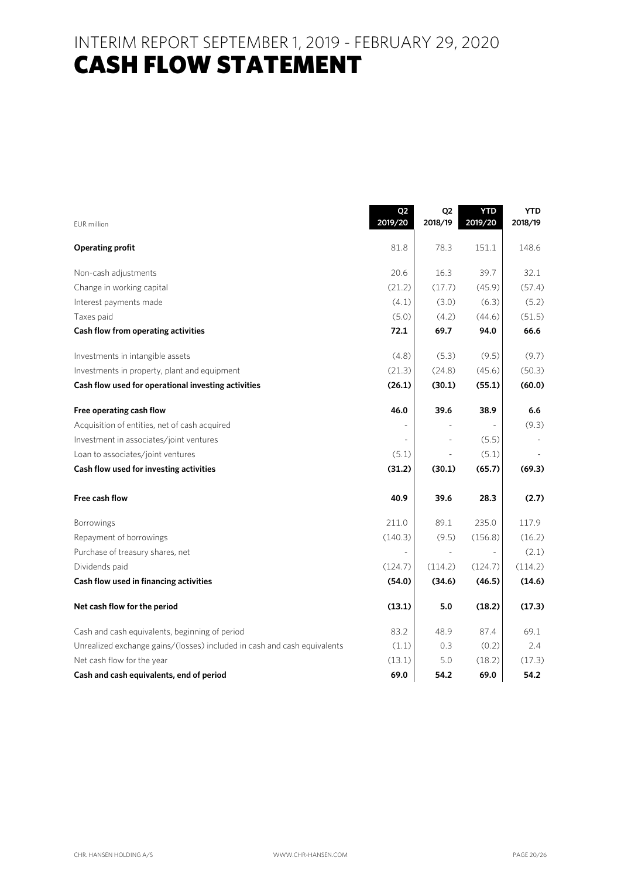### INTERIM REPORT SEPTEMBER 1, 2019 - FEBRUARY 29, 2020 **CASH FLOW STATEMENT**

| EUR million                                                              | Q2<br>2019/20 | Q <sub>2</sub><br>2018/19 | <b>YTD</b><br>2019/20 | <b>YTD</b><br>2018/19 |
|--------------------------------------------------------------------------|---------------|---------------------------|-----------------------|-----------------------|
| <b>Operating profit</b>                                                  | 81.8          | 78.3                      | 151.1                 | 148.6                 |
| Non-cash adjustments                                                     | 20.6          | 16.3                      | 39.7                  | 32.1                  |
| Change in working capital                                                | (21.2)        | (17.7)                    | (45.9)                | (57.4)                |
| Interest payments made                                                   | (4.1)         | (3.0)                     | (6.3)                 | (5.2)                 |
| Taxes paid                                                               | (5.0)         | (4.2)                     | (44.6)                | (51.5)                |
| Cash flow from operating activities                                      | 72.1          | 69.7                      | 94.0                  | 66.6                  |
| Investments in intangible assets                                         | (4.8)         | (5.3)                     | (9.5)                 | (9.7)                 |
| Investments in property, plant and equipment                             | (21.3)        | (24.8)                    | (45.6)                | (50.3)                |
| Cash flow used for operational investing activities                      | (26.1)        | (30.1)                    | (55.1)                | (60.0)                |
| Free operating cash flow                                                 | 46.0          | 39.6                      | 38.9                  | 6.6                   |
| Acquisition of entities, net of cash acquired                            |               |                           |                       | (9.3)                 |
| Investment in associates/joint ventures                                  |               |                           | (5.5)                 |                       |
| Loan to associates/joint ventures                                        | (5.1)         |                           | (5.1)                 |                       |
| Cash flow used for investing activities                                  | (31.2)        | (30.1)                    | (65.7)                | (69.3)                |
| Free cash flow                                                           | 40.9          | 39.6                      | 28.3                  | (2.7)                 |
| Borrowings                                                               | 211.0         | 89.1                      | 235.0                 | 117.9                 |
| Repayment of borrowings                                                  | (140.3)       | (9.5)                     | (156.8)               | (16.2)                |
| Purchase of treasury shares, net                                         |               |                           |                       | (2.1)                 |
| Dividends paid                                                           | (124.7)       | (114.2)                   | (124.7)               | (114.2)               |
| Cash flow used in financing activities                                   | (54.0)        | (34.6)                    | (46.5)                | (14.6)                |
| Net cash flow for the period                                             | (13.1)        | 5.0                       | (18.2)                | (17.3)                |
| Cash and cash equivalents, beginning of period                           | 83.2          | 48.9                      | 87.4                  | 69.1                  |
| Unrealized exchange gains/(losses) included in cash and cash equivalents | (1.1)         | 0.3                       | (0.2)                 | 2.4                   |
| Net cash flow for the year                                               | (13.1)        | 5.0                       | (18.2)                | (17.3)                |
| Cash and cash equivalents, end of period                                 | 69.0          | 54.2                      | 69.0                  | 54.2                  |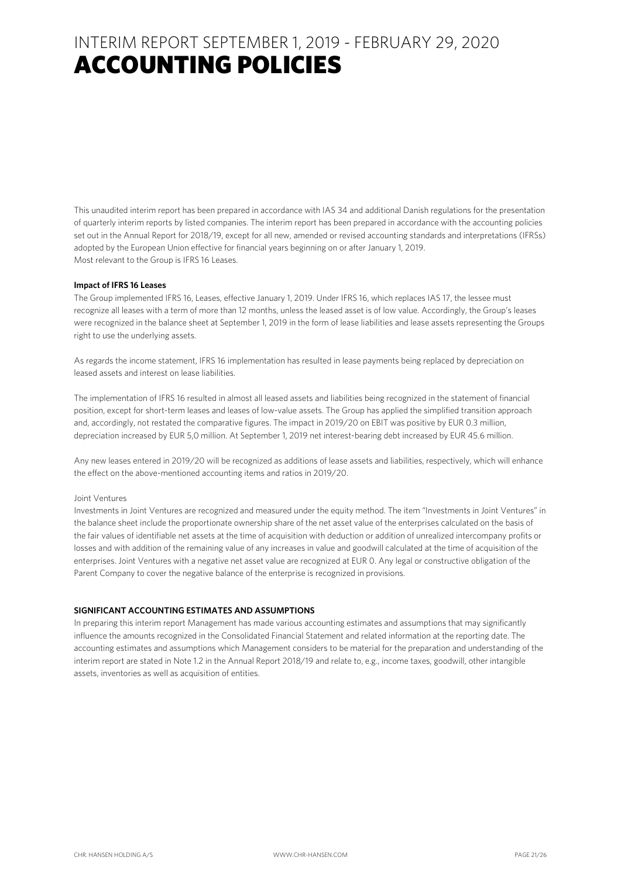This unaudited interim report has been prepared in accordance with IAS 34 and additional Danish regulations for the presentation of quarterly interim reports by listed companies. The interim report has been prepared in accordance with the accounting policies set out in the Annual Report for 2018/19, except for all new, amended or revised accounting standards and interpretations (IFRSs) adopted by the European Union effective for financial years beginning on or after January 1, 2019. Most relevant to the Group is IFRS 16 Leases.

#### **Impact of IFRS 16 Leases**

The Group implemented IFRS 16, Leases, effective January 1, 2019. Under IFRS 16, which replaces IAS 17, the lessee must recognize all leases with a term of more than 12 months, unless the leased asset is of low value. Accordingly, the Group's leases were recognized in the balance sheet at September 1, 2019 in the form of lease liabilities and lease assets representing the Groups right to use the underlying assets.

As regards the income statement, IFRS 16 implementation has resulted in lease payments being replaced by depreciation on leased assets and interest on lease liabilities.

The implementation of IFRS 16 resulted in almost all leased assets and liabilities being recognized in the statement of financial position, except for short-term leases and leases of low-value assets. The Group has applied the simplified transition approach and, accordingly, not restated the comparative figures. The impact in 2019/20 on EBIT was positive by EUR 0.3 million, depreciation increased by EUR 5,0 million. At September 1, 2019 net interest-bearing debt increased by EUR 45.6 million.

Any new leases entered in 2019/20 will be recognized as additions of lease assets and liabilities, respectively, which will enhance the effect on the above-mentioned accounting items and ratios in 2019/20.

#### Joint Ventures

Investments in Joint Ventures are recognized and measured under the equity method. The item "Investments in Joint Ventures" in the balance sheet include the proportionate ownership share of the net asset value of the enterprises calculated on the basis of the fair values of identifiable net assets at the time of acquisition with deduction or addition of unrealized intercompany profits or losses and with addition of the remaining value of any increases in value and goodwill calculated at the time of acquisition of the enterprises. Joint Ventures with a negative net asset value are recognized at EUR 0. Any legal or constructive obligation of the Parent Company to cover the negative balance of the enterprise is recognized in provisions.

#### **SIGNIFICANT ACCOUNTING ESTIMATES AND ASSUMPTIONS**

In preparing this interim report Management has made various accounting estimates and assumptions that may significantly influence the amounts recognized in the Consolidated Financial Statement and related information at the reporting date. The accounting estimates and assumptions which Management considers to be material for the preparation and understanding of the interim report are stated in Note 1.2 in the Annual Report 2018/19 and relate to, e.g., income taxes, goodwill, other intangible assets, inventories as well as acquisition of entities.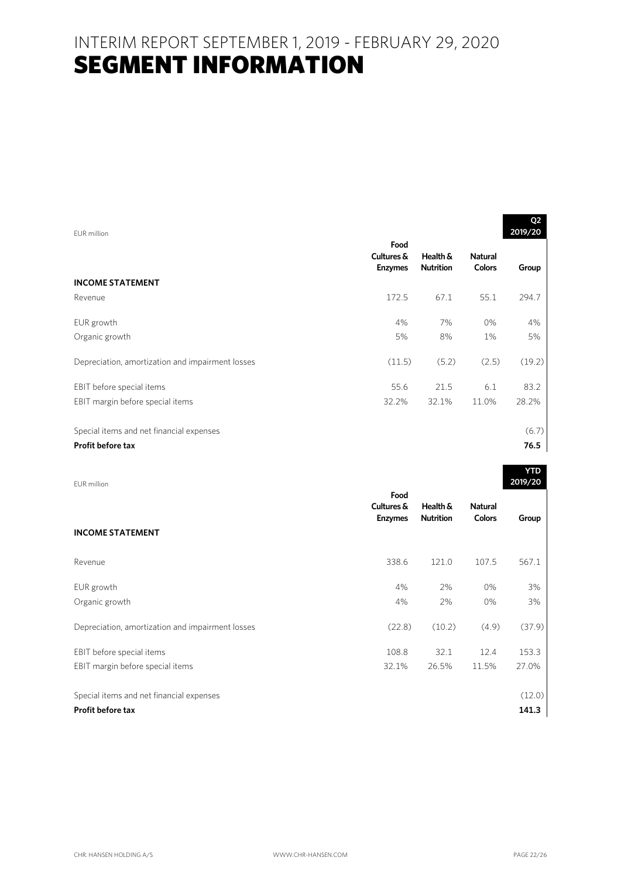| FUR million                                      |                                      |                              |                                 | Q <sub>2</sub><br>2019/20 |
|--------------------------------------------------|--------------------------------------|------------------------------|---------------------------------|---------------------------|
|                                                  | Food<br>Cultures &<br><b>Enzymes</b> | Health &<br><b>Nutrition</b> | <b>Natural</b><br><b>Colors</b> | Group                     |
| <b>INCOME STATEMENT</b>                          |                                      |                              |                                 |                           |
| Revenue                                          | 172.5                                | 67.1                         | 55.1                            | 294.7                     |
| EUR growth                                       | 4%                                   | 7%                           | 0%                              | 4%                        |
| Organic growth                                   | 5%                                   | 8%                           | 1%                              | 5%                        |
| Depreciation, amortization and impairment losses | (11.5)                               | (5.2)                        | (2.5)                           | (19.2)                    |
| EBIT before special items                        | 55.6                                 | 21.5                         | 6.1                             | 83.2                      |
| EBIT margin before special items                 | 32.2%                                | 32.1%                        | 11.0%                           | 28.2%                     |
|                                                  |                                      |                              |                                 |                           |
| Special items and net financial expenses         |                                      |                              |                                 | (6.7)                     |
| <b>Profit before tax</b>                         |                                      |                              |                                 | 76.5                      |

| EUR million                                      |                                      |                              |                                 | <b>YTD</b><br>2019/20 |
|--------------------------------------------------|--------------------------------------|------------------------------|---------------------------------|-----------------------|
|                                                  | Food<br>Cultures &<br><b>Enzymes</b> | Health &<br><b>Nutrition</b> | <b>Natural</b><br><b>Colors</b> | Group                 |
| <b>INCOME STATEMENT</b>                          |                                      |                              |                                 |                       |
| Revenue                                          | 338.6                                | 121.0                        | 107.5                           | 567.1                 |
| EUR growth                                       | 4%                                   | 2%                           | $0\%$                           | 3%                    |
| Organic growth                                   | 4%                                   | 2%                           | 0%                              | 3%                    |
| Depreciation, amortization and impairment losses | (22.8)                               | (10.2)                       | (4.9)                           | (37.9)                |
| EBIT before special items                        | 108.8                                | 32.1                         | 12.4                            | 153.3                 |
| EBIT margin before special items                 | 32.1%                                | 26.5%                        | 11.5%                           | 27.0%                 |
|                                                  |                                      |                              |                                 |                       |
| Special items and net financial expenses         |                                      |                              |                                 | (12.0)                |
| Profit before tax                                |                                      |                              |                                 | 141.3                 |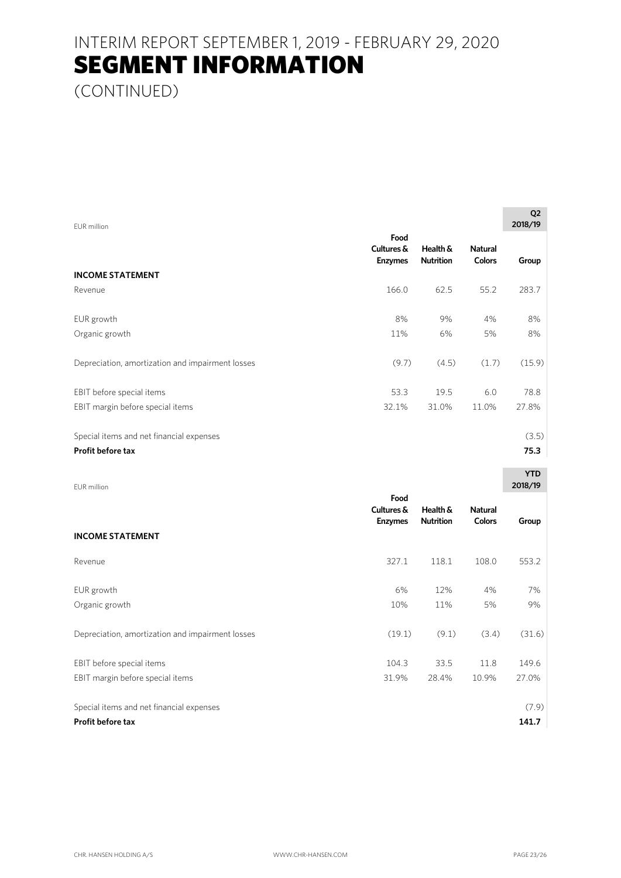(CONTINUED)

| EUR million                                      |                                      |                              |                                 | Q2<br>2018/19 |  |
|--------------------------------------------------|--------------------------------------|------------------------------|---------------------------------|---------------|--|
|                                                  | Food<br>Cultures &<br><b>Enzymes</b> | Health &<br><b>Nutrition</b> | <b>Natural</b><br><b>Colors</b> | Group         |  |
| <b>INCOME STATEMENT</b>                          |                                      |                              |                                 |               |  |
| Revenue                                          | 166.0                                | 62.5                         | 55.2                            | 283.7         |  |
| EUR growth                                       | 8%                                   | 9%                           | 4%                              | 8%            |  |
| Organic growth                                   | 11%                                  | 6%                           | 5%                              | 8%            |  |
| Depreciation, amortization and impairment losses | (9.7)                                | (4.5)                        | (1.7)                           | (15.9)        |  |
| EBIT before special items                        | 53.3                                 | 19.5                         | 6.0                             | 78.8          |  |
| EBIT margin before special items                 | 32.1%                                | 31.0%                        | 11.0%                           | 27.8%         |  |
| Special items and net financial expenses         |                                      |                              |                                 | (3.5)         |  |
| Profit before tax                                |                                      |                              |                                 | 75.3          |  |

| EUR million                                                   |                                      |                              |                                 | <b>YTD</b><br>2018/19 |
|---------------------------------------------------------------|--------------------------------------|------------------------------|---------------------------------|-----------------------|
| <b>INCOME STATEMENT</b>                                       | Food<br>Cultures &<br><b>Enzymes</b> | Health &<br><b>Nutrition</b> | <b>Natural</b><br><b>Colors</b> | Group                 |
| Revenue                                                       | 327.1                                | 118.1                        | 108.0                           | 553.2                 |
| EUR growth<br>Organic growth                                  | 6%<br>10%                            | 12%<br>11%                   | 4%<br>5%                        | 7%<br>9%              |
| Depreciation, amortization and impairment losses              | (19.1)                               | (9.1)                        | (3.4)                           | (31.6)                |
| EBIT before special items<br>EBIT margin before special items | 104.3<br>31.9%                       | 33.5<br>28.4%                | 11.8<br>10.9%                   | 149.6<br>27.0%        |
| Special items and net financial expenses<br>Profit before tax |                                      |                              |                                 | (7.9)<br>141.7        |

**Q2**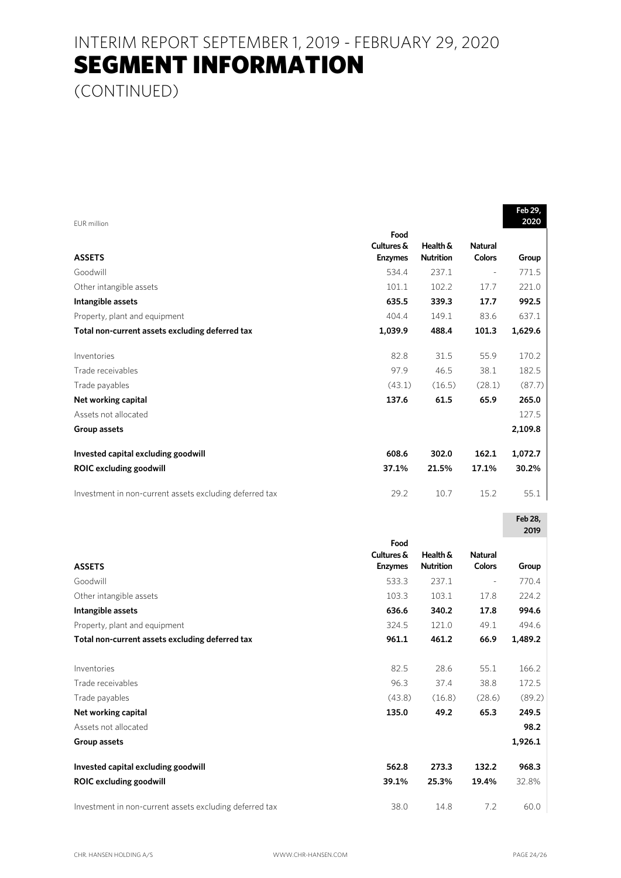(CONTINUED)

|                                                         |                |                  |                | Feb 29,         |
|---------------------------------------------------------|----------------|------------------|----------------|-----------------|
| <b>EUR</b> million                                      | Food           |                  |                | 2020            |
|                                                         | Cultures &     | Health &         | <b>Natural</b> |                 |
| <b>ASSETS</b>                                           | <b>Enzymes</b> | <b>Nutrition</b> | <b>Colors</b>  | Group           |
| Goodwill                                                | 534.4          | 237.1            | $\overline{a}$ | 771.5           |
| Other intangible assets                                 | 101.1          | 102.2            | 17.7           | 221.0           |
| Intangible assets                                       | 635.5          | 339.3            | 17.7           | 992.5           |
| Property, plant and equipment                           | 404.4          | 149.1            | 83.6           | 637.1           |
| Total non-current assets excluding deferred tax         | 1,039.9        | 488.4            | 101.3          | 1,629.6         |
| Inventories                                             | 82.8           | 31.5             | 55.9           | 170.2           |
| Trade receivables                                       | 97.9           | 46.5             | 38.1           | 182.5           |
| Trade payables                                          | (43.1)         | (16.5)           | (28.1)         | (87.7)          |
| Net working capital                                     | 137.6          | 61.5             | 65.9           | 265.0           |
| Assets not allocated                                    |                |                  |                | 127.5           |
| <b>Group assets</b>                                     |                |                  |                | 2,109.8         |
| Invested capital excluding goodwill                     | 608.6          | 302.0            | 162.1          | 1,072.7         |
| <b>ROIC excluding goodwill</b>                          | 37.1%          | 21.5%            | 17.1%          | 30.2%           |
| Investment in non-current assets excluding deferred tax | 29.2           | 10.7             | 15.2           | 55.1            |
|                                                         |                |                  |                | Feb 28,<br>2019 |
|                                                         | Food           |                  |                |                 |
|                                                         | Cultures &     | Health &         | <b>Natural</b> |                 |
| <b>ASSETS</b>                                           | <b>Enzymes</b> | <b>Nutrition</b> | <b>Colors</b>  | Group           |
| Goodwill                                                | 533.3          | 237.1            |                | 770.4           |
| Other intangible assets                                 | 103.3          | 103.1            | 17.8           | 224.2           |
| Intangible assets                                       | 636.6          | 340.2            | 17.8           | 994.6           |
| Property, plant and equipment                           | 324.5          | 121.0            | 49.1           | 494.6           |
| Total non-current assets excluding deferred tax         | 961.1          | 461.2            | 66.9           | 1,489.2         |
| Inventories                                             | 82.5           | 28.6             | 55.1           | 166.2           |
| Trade receivables                                       | 96.3           | 37.4             | 38.8           | 172.5           |
| Trade payables                                          | (43.8)         | (16.8)           | (28.6)         | (89.2)          |
| Net working capital                                     | 135.0          | 49.2             | 65.3           | 249.5           |
| Assets not allocated                                    |                |                  |                | 98.2            |
| Group assets                                            |                |                  |                | 1,926.1         |
| Invested capital excluding goodwill                     | 562.8          | 273.3            | 132.2          | 968.3           |
| <b>ROIC excluding goodwill</b>                          |                |                  |                |                 |
|                                                         | 39.1%          | 25.3%            | 19.4%          | 32.8%           |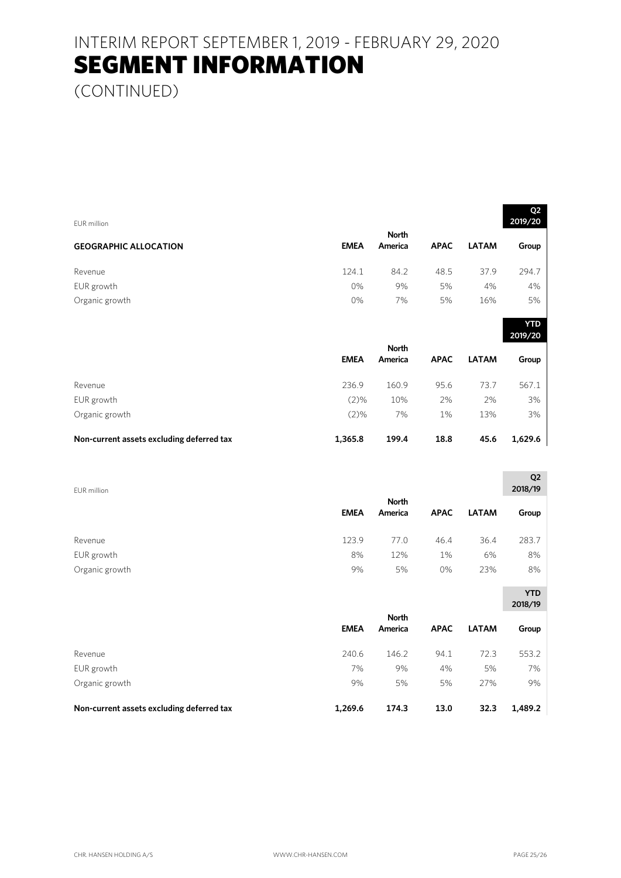(CONTINUED)

| EUR million                               |             |                         |             |              | Q <sub>2</sub><br>2019/20 |
|-------------------------------------------|-------------|-------------------------|-------------|--------------|---------------------------|
|                                           |             | <b>North</b>            |             |              |                           |
| <b>GEOGRAPHIC ALLOCATION</b>              | <b>EMEA</b> | America                 | <b>APAC</b> | <b>LATAM</b> | Group                     |
| Revenue                                   | 124.1       | 84.2                    | 48.5        | 37.9         | 294.7                     |
| EUR growth                                | 0%          | 9%                      | 5%          | 4%           | 4%                        |
| Organic growth                            | 0%          | 7%                      | 5%          | 16%          | 5%                        |
|                                           |             |                         |             |              | <b>YTD</b><br>2019/20     |
|                                           |             | <b>North</b>            |             |              |                           |
|                                           | <b>EMEA</b> | America                 | <b>APAC</b> | <b>LATAM</b> | Group                     |
| Revenue                                   | 236.9       | 160.9                   | 95.6        | 73.7         | 567.1                     |
| EUR growth                                | (2)%        | 10%                     | 2%          | 2%           | 3%                        |
| Organic growth                            | (2)%        | 7%                      | 1%          | 13%          | 3%                        |
| Non-current assets excluding deferred tax | 1,365.8     | 199.4                   | 18.8        | 45.6         | 1,629.6                   |
|                                           |             |                         |             |              | Q <sub>2</sub>            |
| EUR million                               |             |                         |             |              | 2018/19                   |
|                                           | <b>EMEA</b> | <b>North</b><br>America | <b>APAC</b> | <b>LATAM</b> | Group                     |
| Revenue                                   | 123.9       | 77.0                    | 46.4        | 36.4         | 283.7                     |
| EUR growth                                | 8%          | 12%                     | 1%          | 6%           | 8%                        |
| Organic growth                            | 9%          | 5%                      | 0%          | 23%          | 8%                        |
|                                           |             |                         |             |              | <b>YTD</b>                |
|                                           |             |                         |             |              | 2018/19                   |
|                                           | <b>EMEA</b> | <b>North</b><br>America | <b>APAC</b> | <b>LATAM</b> | Group                     |
| Revenue                                   | 240.6       | 146.2                   | 94.1        | 72.3         | 553.2                     |
| EUR growth                                | 7%          | 9%                      | 4%          | 5%           | 7%                        |
| Organic growth                            | 9%          | 5%                      | 5%          | 27%          | 9%                        |

**Non-current assets excluding deferred tax 1,269.6 174.3 13.0 32.3 1,489.2**